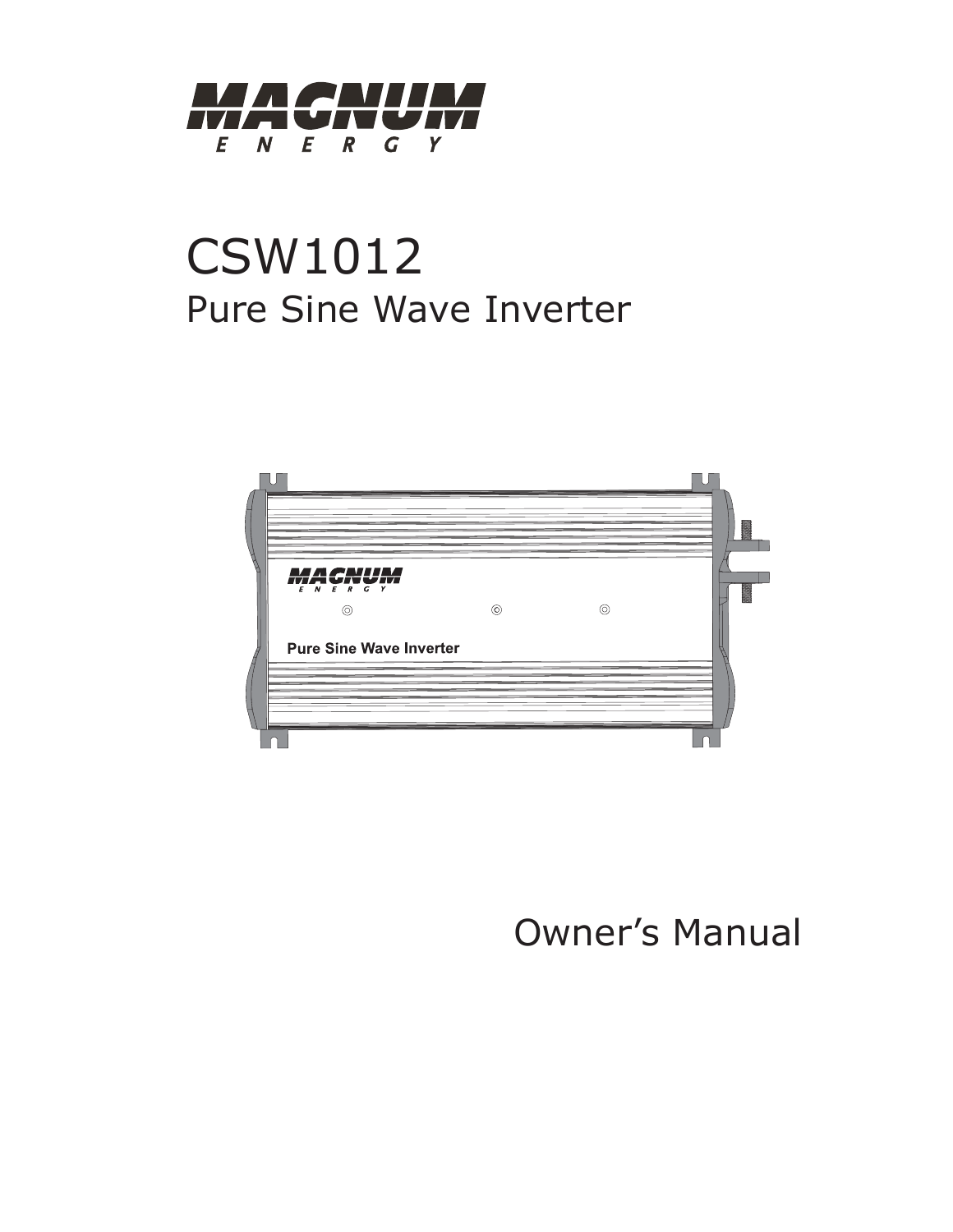

# CSW1012 Pure Sine Wave Inverter



# Owner's Manual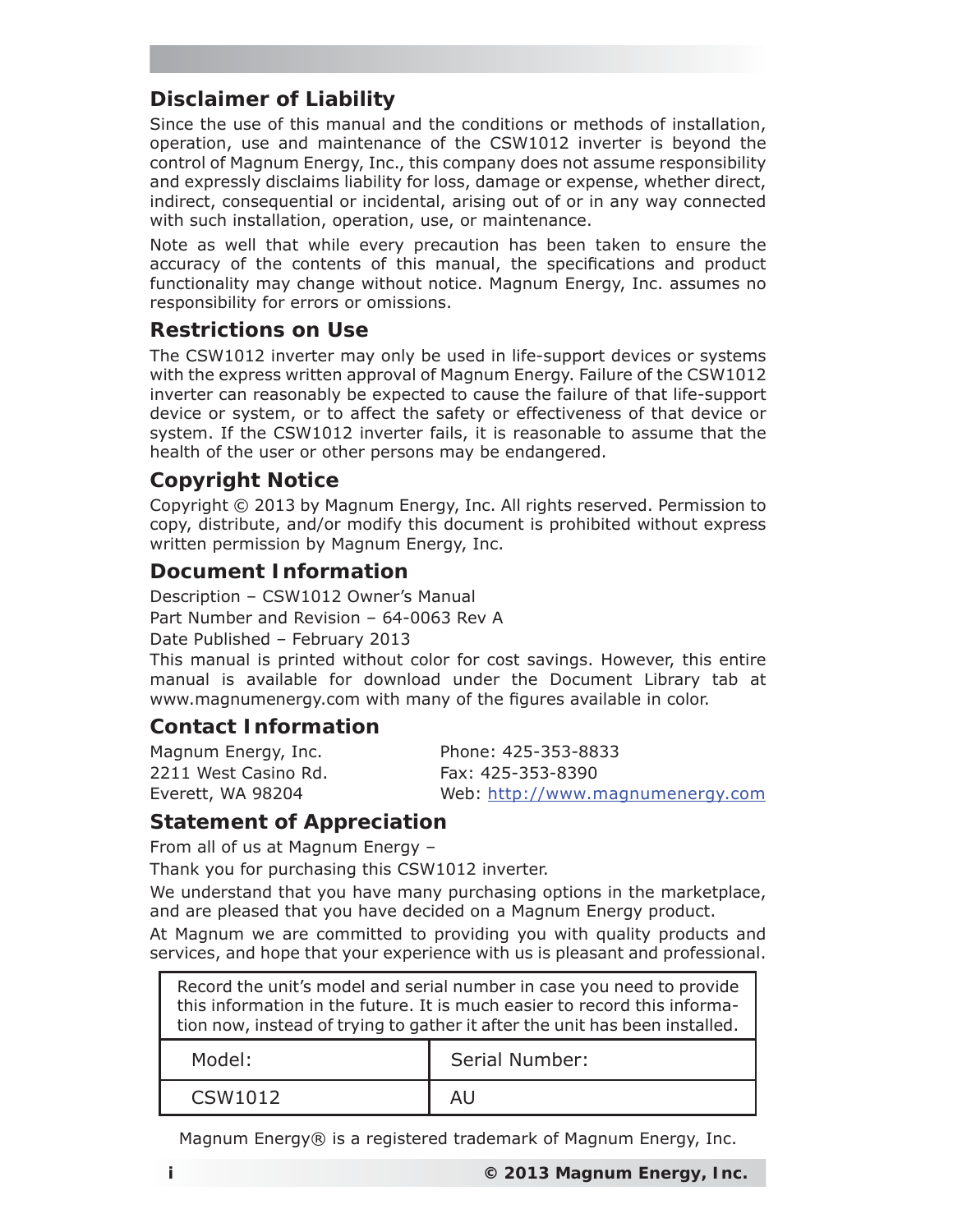## **Disclaimer of Liability**

Since the use of this manual and the conditions or methods of installation, operation, use and maintenance of the CSW1012 inverter is beyond the control of Magnum Energy, Inc., this company does not assume responsibility and expressly disclaims liability for loss, damage or expense, whether direct, indirect, consequential or incidental, arising out of or in any way connected with such installation, operation, use, or maintenance.

Note as well that while every precaution has been taken to ensure the accuracy of the contents of this manual, the specifications and product functionality may change without notice. Magnum Energy, Inc. assumes no responsibility for errors or omissions.

#### **Restrictions on Use**

The CSW1012 inverter may only be used in life-support devices or systems with the express written approval of Magnum Energy. Failure of the CSW1012 inverter can reasonably be expected to cause the failure of that life-support device or system, or to affect the safety or effectiveness of that device or system. If the CSW1012 inverter fails, it is reasonable to assume that the health of the user or other persons may be endangered.

#### **Copyright Notice**

Copyright © 2013 by Magnum Energy, Inc. All rights reserved. Permission to copy, distribute, and/or modify this document is prohibited without express written permission by Magnum Energy, Inc.

#### **Document Information**

Description – CSW1012 Owner's Manual Part Number and Revision – 64-0063 Rev A

Date Published – February 2013

This manual is printed without color for cost savings. However, this entire manual is available for download under the Document Library tab at www.magnumenergy.com with many of the figures available in color.

#### **Contact Information**

2211 West Casino Rd. Fax: 425-353-8390

Magnum Energy, Inc. Phone: 425-353-8833 Everett, WA 98204 Web: http://www.magnumenergy.com

#### **Statement of Appreciation**

From all of us at Magnum Energy –

Thank you for purchasing this CSW1012 inverter.

We understand that you have many purchasing options in the marketplace, and are pleased that you have decided on a Magnum Energy product.

At Magnum we are committed to providing you with quality products and services, and hope that your experience with us is pleasant and professional.

Record the unit's model and serial number in case you need to provide this information in the future. It is much easier to record this information now, instead of trying to gather it after the unit has been installed. Model: Serial Number: CSW1012 AU

Magnum Energy® is a registered trademark of Magnum Energy, Inc.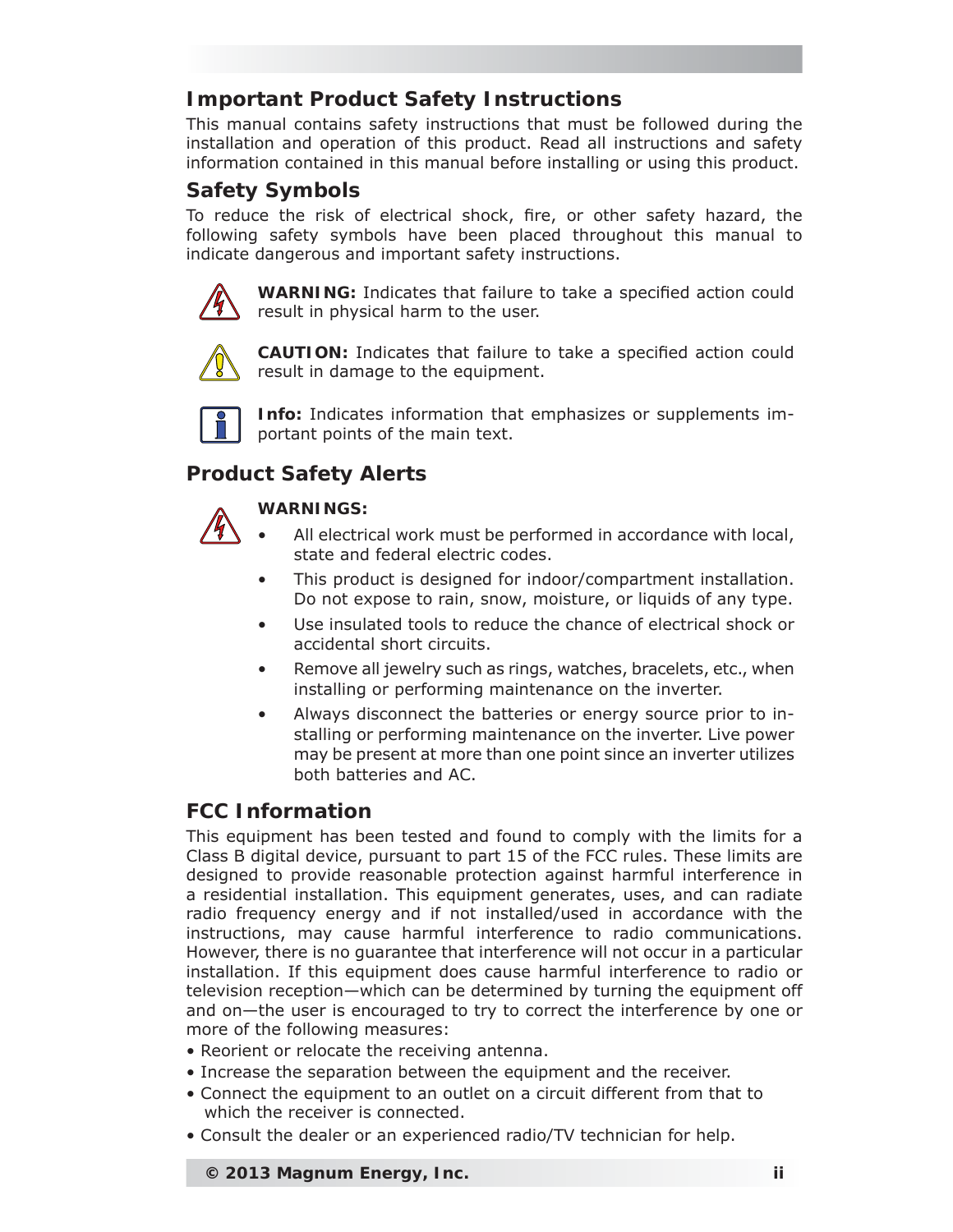## **Important Product Safety Instructions**

This manual contains safety instructions that must be followed during the installation and operation of this product. Read all instructions and safety information contained in this manual before installing or using this product.

## **Safety Symbols**

To reduce the risk of electrical shock, fire, or other safety hazard, the following safety symbols have been placed throughout this manual to indicate dangerous and important safety instructions.



**WARNING:** Indicates that failure to take a specified action could result in physical harm to the user.



**CAUTION:** Indicates that failure to take a specified action could result in damage to the equipment.



**Info:** Indicates information that emphasizes or supplements important points of the main text.

## **Product Safety Alerts**

#### **WARNINGS:**

- All electrical work must be performed in accordance with local, state and federal electric codes.
- This product is designed for indoor/compartment installation. Do not expose to rain, snow, moisture, or liquids of any type.
- Use insulated tools to reduce the chance of electrical shock or accidental short circuits.
- Remove all jewelry such as rings, watches, bracelets, etc., when installing or performing maintenance on the inverter.
- Always disconnect the batteries or energy source prior to installing or performing maintenance on the inverter. Live power may be present at more than one point since an inverter utilizes both batteries and AC.

## **FCC Information**

This equipment has been tested and found to comply with the limits for a Class B digital device, pursuant to part 15 of the FCC rules. These limits are designed to provide reasonable protection against harmful interference in a residential installation. This equipment generates, uses, and can radiate radio frequency energy and if not installed/used in accordance with the instructions, may cause harmful interference to radio communications. However, there is no guarantee that interference will not occur in a particular installation. If this equipment does cause harmful interference to radio or television reception—which can be determined by turning the equipment off and on—the user is encouraged to try to correct the interference by one or more of the following measures:

- Reorient or relocate the receiving antenna.
- Increase the separation between the equipment and the receiver.
- Connect the equipment to an outlet on a circuit different from that to which the receiver is connected.
- Consult the dealer or an experienced radio/TV technician for help.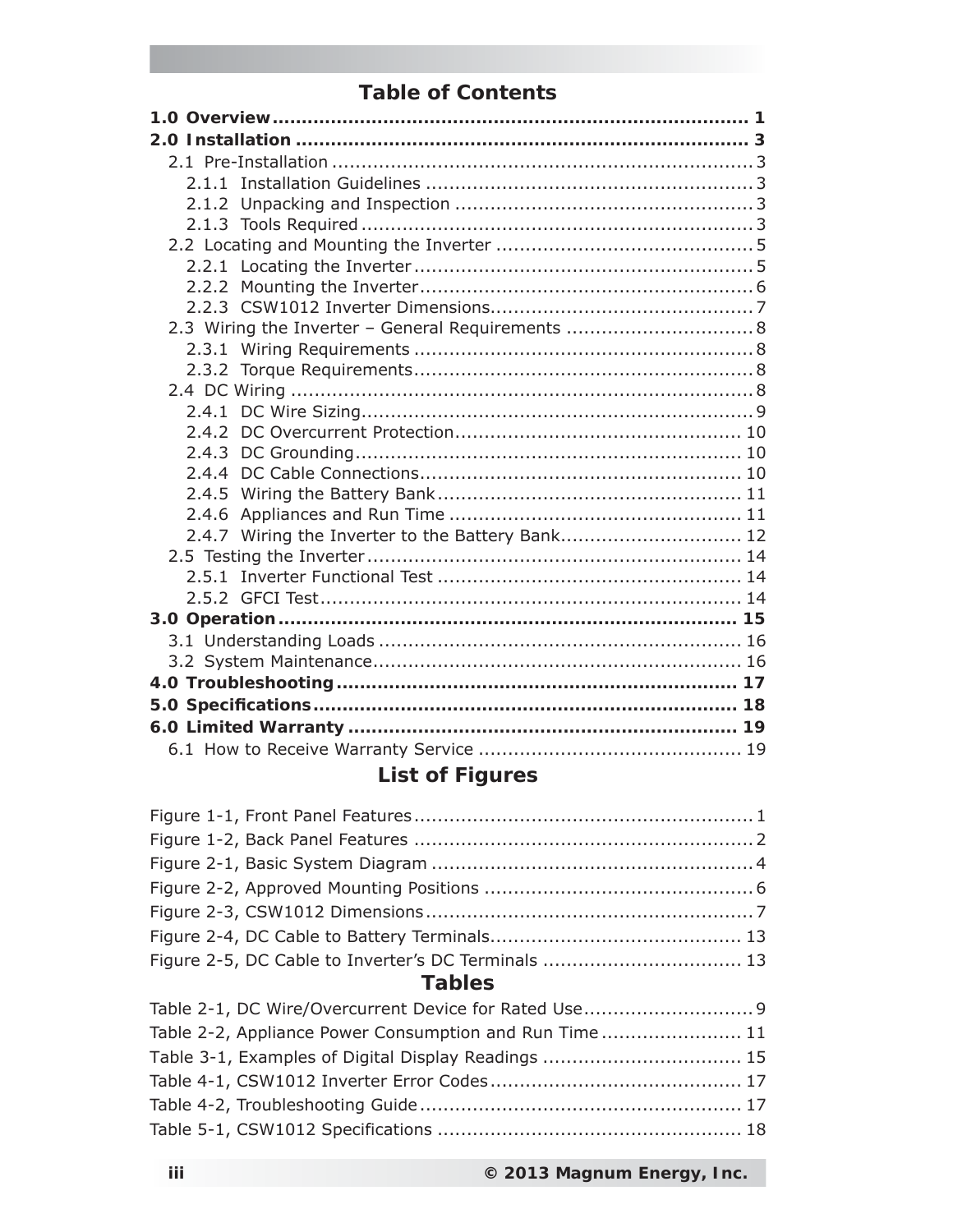## **Table of Contents**

| 2.3 Wiring the Inverter - General Requirements  8 |  |
|---------------------------------------------------|--|
|                                                   |  |
|                                                   |  |
|                                                   |  |
|                                                   |  |
|                                                   |  |
|                                                   |  |
|                                                   |  |
|                                                   |  |
|                                                   |  |
| 2.4.7 Wiring the Inverter to the Battery Bank 12  |  |
|                                                   |  |
|                                                   |  |
|                                                   |  |
|                                                   |  |
|                                                   |  |
|                                                   |  |
|                                                   |  |
|                                                   |  |
|                                                   |  |
|                                                   |  |
|                                                   |  |

# **List of Figures**

## **Tables**

| Table 2-2, Appliance Power Consumption and Run Time 11 |  |
|--------------------------------------------------------|--|
| Table 3-1, Examples of Digital Display Readings  15    |  |
|                                                        |  |
|                                                        |  |
|                                                        |  |
|                                                        |  |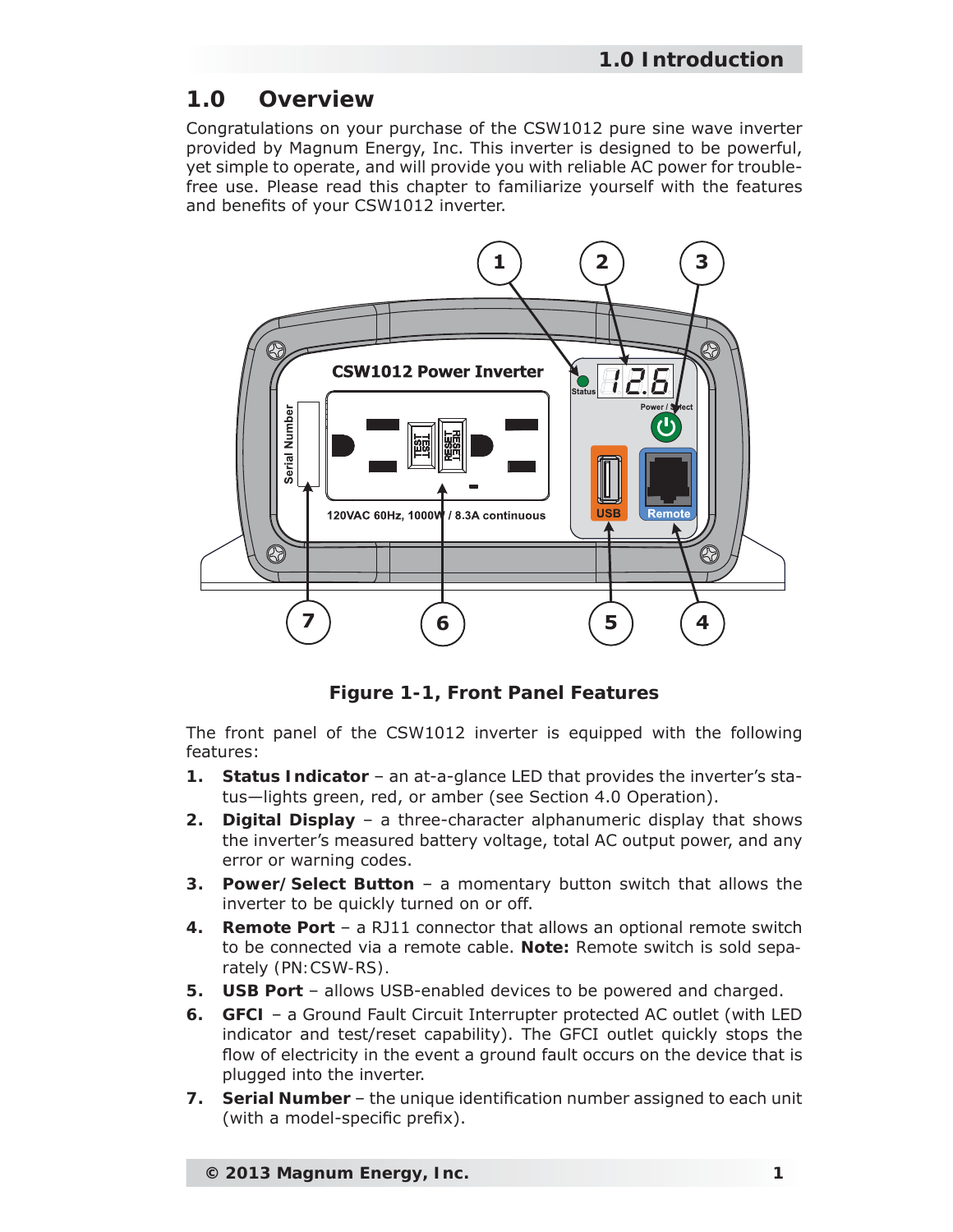## **1.0 Overview**

Congratulations on your purchase of the CSW1012 pure sine wave inverter provided by Magnum Energy, Inc. This inverter is designed to be powerful, yet simple to operate, and will provide you with reliable AC power for troublefree use. Please read this chapter to familiarize yourself with the features and benefits of your CSW1012 inverter.



*Figure 1-1, Front Panel Features*

The front panel of the CSW1012 inverter is equipped with the following features:

- **1. Status Indicator** an at-a-glance LED that provides the inverter's status—lights green, red, or amber (see Section 4.0 Operation).
- **2. Digital Display**  a three-character alphanumeric display that shows the inverter's measured battery voltage, total AC output power, and any error or warning codes.
- **3. Power/Select Button** a momentary button switch that allows the inverter to be quickly turned on or off.
- **4. Remote Port** a RJ11 connector that allows an optional remote switch to be connected via a remote cable. *Note: Remote switch is sold separately (PN:CSW-RS).*
- **5. USB Port** allows USB-enabled devices to be powered and charged.
- **6. GFCI** a Ground Fault Circuit Interrupter protected AC outlet (with LED indicator and test/reset capability). The GFCI outlet quickly stops the flow of electricity in the event a ground fault occurs on the device that is plugged into the inverter.
- **7.** Serial Number the unique identification number assigned to each unit (with a model-specific prefix).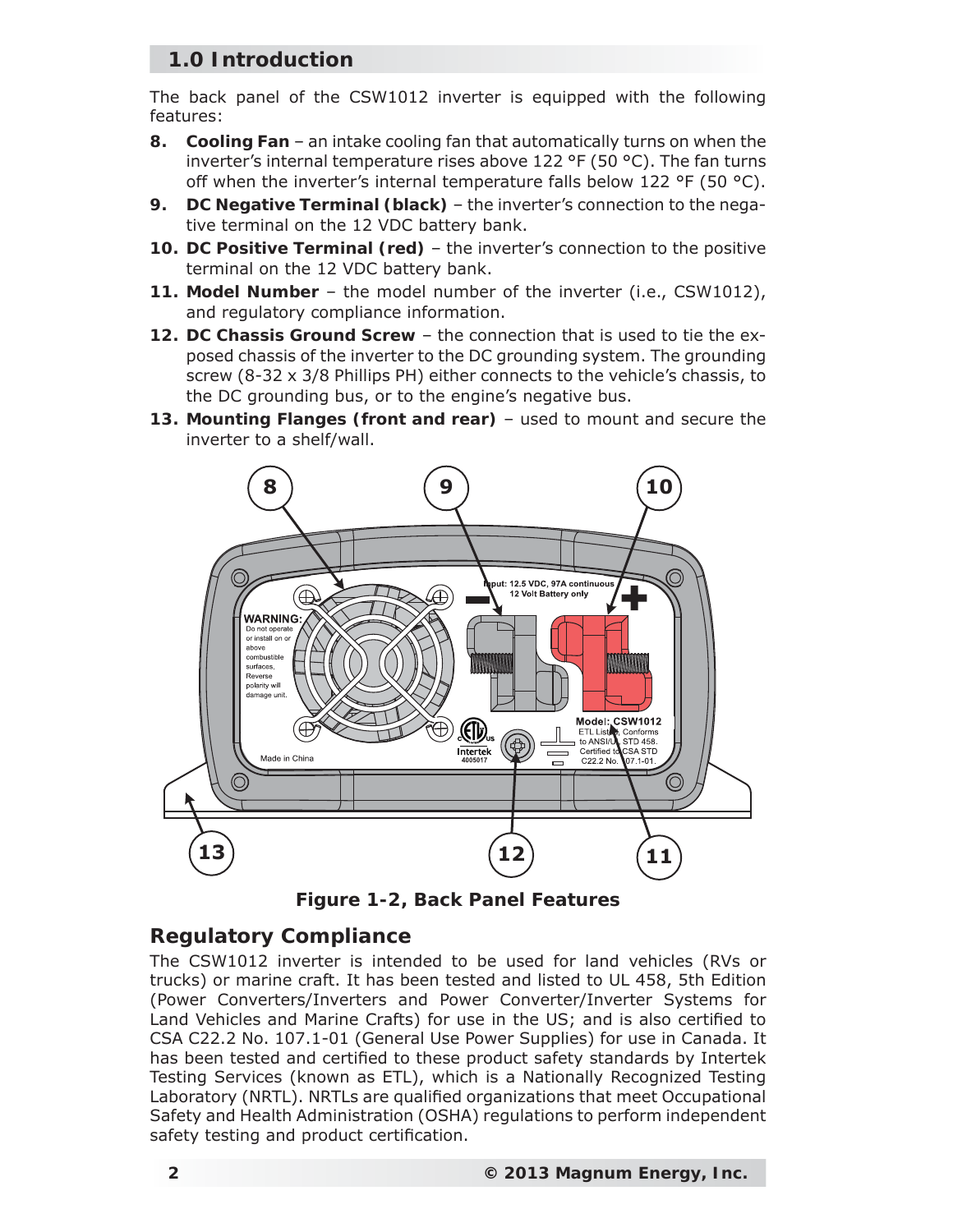## **1.0 Introduction**

The back panel of the CSW1012 inverter is equipped with the following features:

- **8. Cooling Fan** an intake cooling fan that automatically turns on when the inverter's internal temperature rises above 122 °F (50 °C). The fan turns off when the inverter's internal temperature falls below 122 °F (50 °C).
- **9. DC Negative Terminal (black)**  the inverter's connection to the negative terminal on the 12 VDC battery bank.
- **10. DC Positive Terminal (red)** the inverter's connection to the positive terminal on the 12 VDC battery bank.
- **11. Model Number** the model number of the inverter (i.e., CSW1012), and regulatory compliance information.
- **12. DC Chassis Ground Screw** the connection that is used to tie the exposed chassis of the inverter to the DC grounding system. The grounding screw (8-32 x 3/8 Phillips PH) either connects to the vehicle's chassis, to the DC grounding bus, or to the engine's negative bus.
- **13. Mounting Flanges (front and rear)** used to mount and secure the inverter to a shelf/wall.



*Figure 1-2, Back Panel Features*

## **Regulatory Compliance**

The CSW1012 inverter is intended to be used for land vehicles (RVs or trucks) or marine craft. It has been tested and listed to UL 458, 5th Edition (Power Converters/Inverters and Power Converter/Inverter Systems for Land Vehicles and Marine Crafts) for use in the US; and is also certified to CSA C22.2 No. 107.1-01 (General Use Power Supplies) for use in Canada. It has been tested and certified to these product safety standards by Intertek Testing Services (known as ETL), which is a Nationally Recognized Testing Laboratory (NRTL). NRTLs are qualified organizations that meet Occupational Safety and Health Administration (OSHA) regulations to perform independent safety testing and product certification.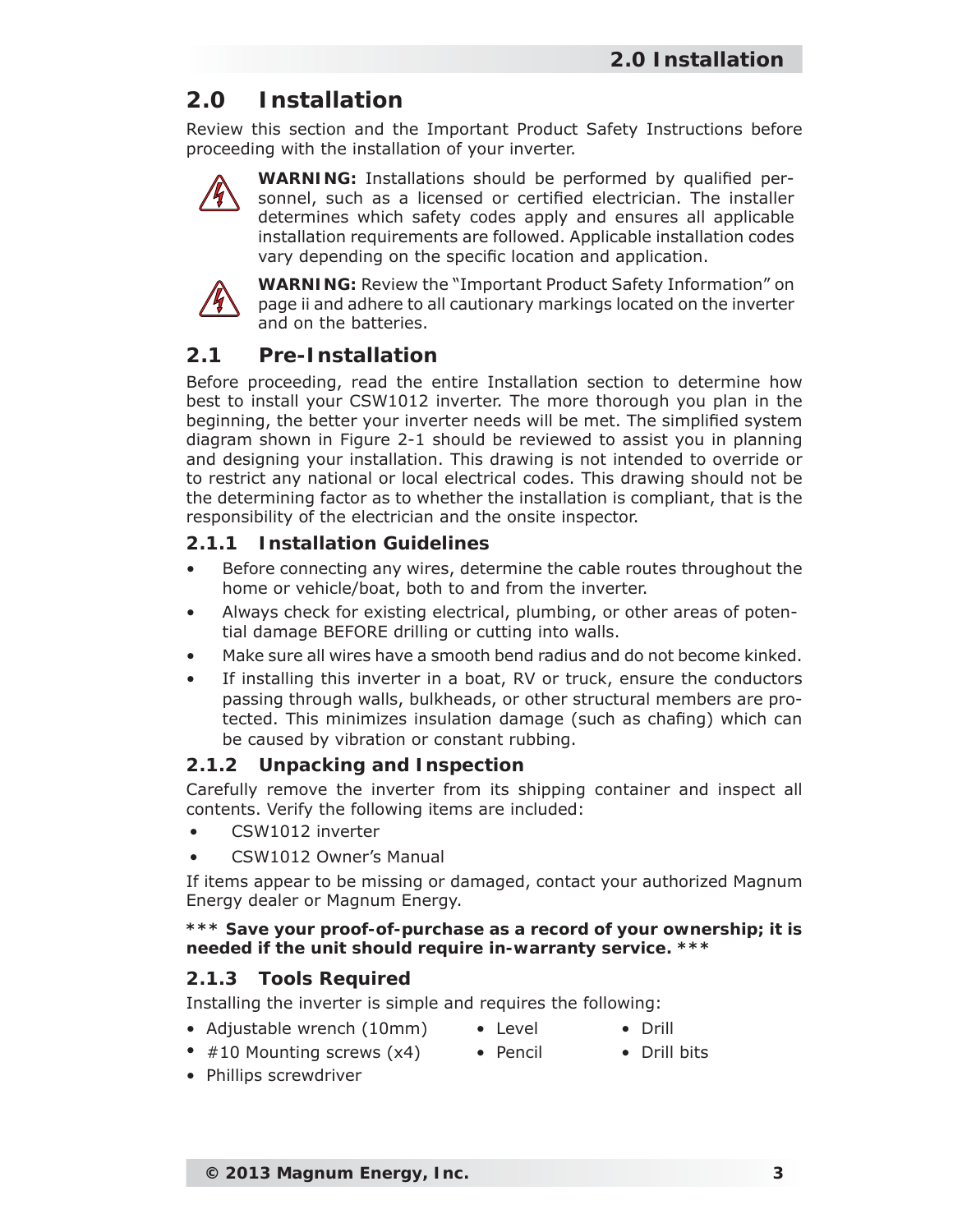Review this section and the Important Product Safety Instructions before proceeding with the installation of your inverter.



WARNING: Installations should be performed by qualified personnel, such as a licensed or certified electrician. The installer determines which safety codes apply and ensures all applicable installation requirements are followed. Applicable installation codes vary depending on the specific location and application.



**WARNING:** Review the "Important Product Safety Information" on page ii and adhere to all cautionary markings located on the inverter and on the batteries.

## **2.1 Pre-Installation**

Before proceeding, read the entire Installation section to determine how best to install your CSW1012 inverter. The more thorough you plan in the beginning, the better your inverter needs will be met. The simplified system diagram shown in Figure 2-1 should be reviewed to assist you in planning and designing your installation. This drawing is not intended to override or to restrict any national or local electrical codes. This drawing should not be the determining factor as to whether the installation is compliant, that is the responsibility of the electrician and the onsite inspector.

## **2.1.1 Installation Guidelines**

- Before connecting any wires, determine the cable routes throughout the home or vehicle/boat, both to and from the inverter.
- Always check for existing electrical, plumbing, or other areas of potential damage BEFORE drilling or cutting into walls.
- Make sure all wires have a smooth bend radius and do not become kinked.
- If installing this inverter in a boat, RV or truck, ensure the conductors passing through walls, bulkheads, or other structural members are protected. This minimizes insulation damage (such as chafing) which can be caused by vibration or constant rubbing.

#### **2.1.2 Unpacking and Inspection**

Carefully remove the inverter from its shipping container and inspect all contents. Verify the following items are included:

- CSW1012 inverter
- CSW1012 Owner's Manual

If items appear to be missing or damaged, contact your authorized Magnum Energy dealer or Magnum Energy.

#### *\*\*\* Save your proof-of-purchase as a record of your ownership; it is needed if the unit should require in-warranty service. \*\*\**

## **2.1.3 Tools Required**

Installing the inverter is simple and requires the following:

- Adjustable wrench (10mm) Level Drill
	-
- 
- #10 Mounting screws (x4) Pencil Drill bits
- 
- 

• Phillips screwdriver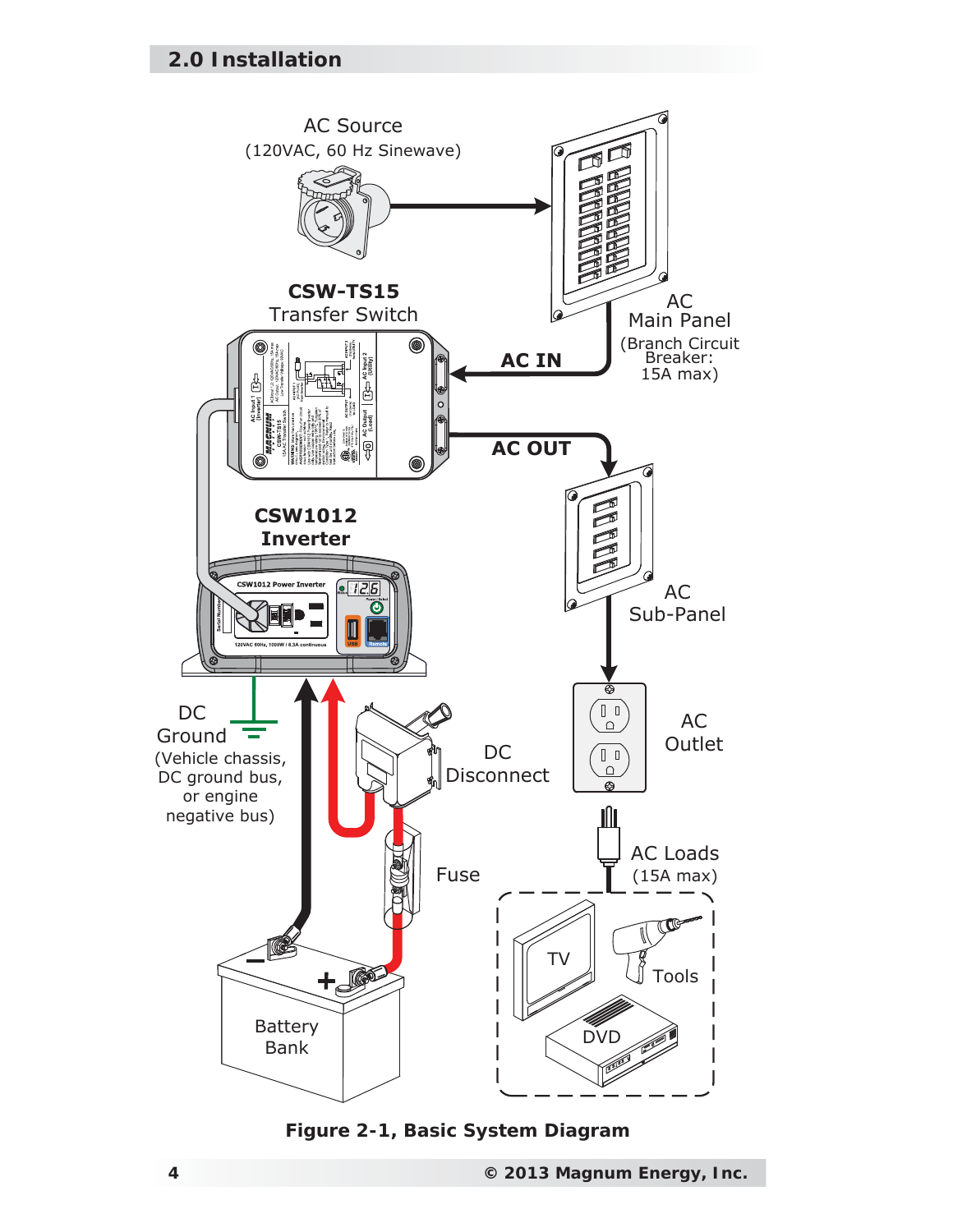

*Figure 2-1, Basic System Diagram*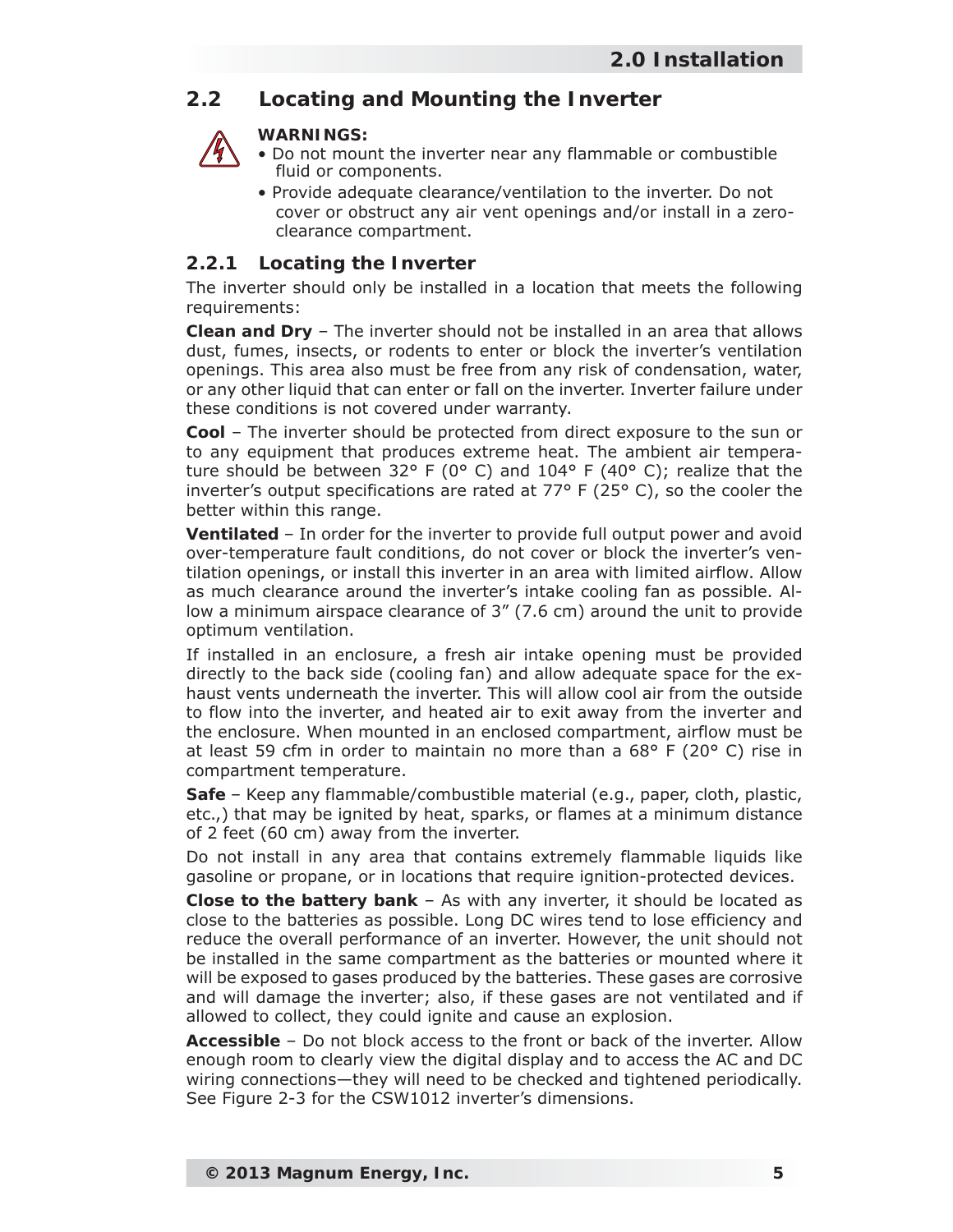## **2.2 Locating and Mounting the Inverter**

## **WARNINGS:**

- Do not mount the inverter near any flammable or combustible fluid or components.
- Provide adequate clearance/ventilation to the inverter. Do not cover or obstruct any air vent openings and/or install in a zeroclearance compartment.

## **2.2.1 Locating the Inverter**

The inverter should only be installed in a location that meets the following requirements:

**Clean and Dry** – The inverter should not be installed in an area that allows dust, fumes, insects, or rodents to enter or block the inverter's ventilation openings. This area also must be free from any risk of condensation, water, or any other liquid that can enter or fall on the inverter. Inverter failure under these conditions is not covered under warranty.

**Cool** – The inverter should be protected from direct exposure to the sun or to any equipment that produces extreme heat. The ambient air temperature should be between 32° F (0° C) and 104° F (40° C); realize that the inverter's output specifications are rated at  $77^{\circ}$  F (25 $^{\circ}$  C), so the cooler the better within this range.

**Ventilated** – In order for the inverter to provide full output power and avoid over-temperature fault conditions, do not cover or block the inverter's ventilation openings, or install this inverter in an area with limited airflow. Allow as much clearance around the inverter's intake cooling fan as possible. Allow a minimum airspace clearance of 3" (7.6 cm) around the unit to provide optimum ventilation.

If installed in an enclosure, a fresh air intake opening must be provided directly to the back side (cooling fan) and allow adequate space for the exhaust vents underneath the inverter. This will allow cool air from the outside to flow into the inverter, and heated air to exit away from the inverter and the enclosure. When mounted in an enclosed compartment, airflow must be at least 59 cfm in order to maintain no more than a  $68^{\circ}$  F (20 $^{\circ}$  C) rise in compartment temperature.

**Safe** – Keep any flammable/combustible material (e.g., paper, cloth, plastic, etc.,) that may be ignited by heat, sparks, or flames at a minimum distance of 2 feet (60 cm) away from the inverter.

Do not install in any area that contains extremely flammable liquids like gasoline or propane, or in locations that require ignition-protected devices.

**Close to the battery bank** – As with any inverter, it should be located as close to the batteries as possible. Long DC wires tend to lose efficiency and reduce the overall performance of an inverter. However, the unit should not be installed in the same compartment as the batteries or mounted where it will be exposed to gases produced by the batteries. These gases are corrosive and will damage the inverter; also, if these gases are not ventilated and if allowed to collect, they could ignite and cause an explosion.

**Accessible** – Do not block access to the front or back of the inverter. Allow enough room to clearly view the digital display and to access the AC and DC wiring connections—they will need to be checked and tightened periodically. See Figure 2-3 for the CSW1012 inverter's dimensions.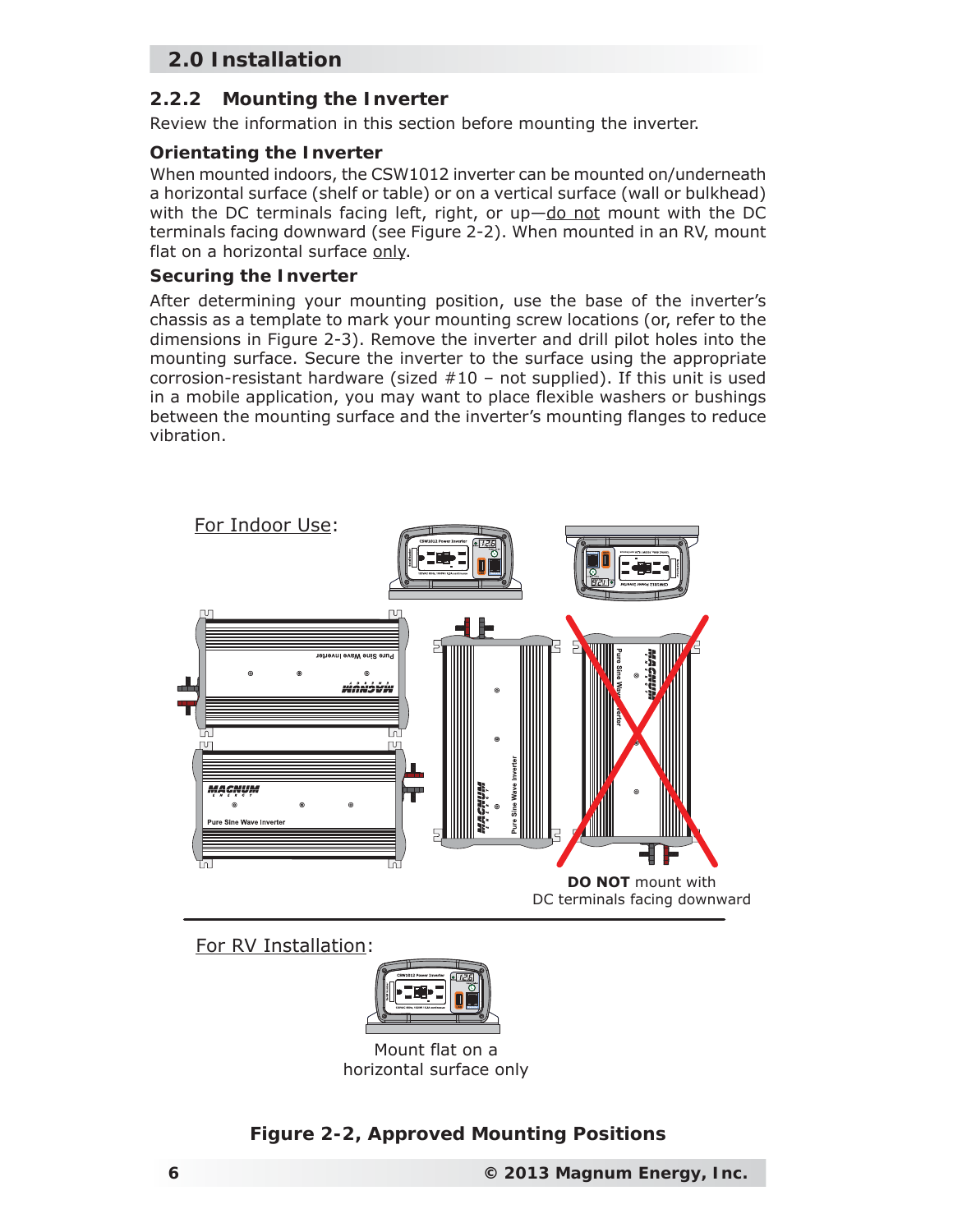#### **2.2.2 Mounting the Inverter**

Review the information in this section before mounting the inverter.

#### **Orientating the Inverter**

When mounted indoors, the CSW1012 inverter can be mounted on/underneath a horizontal surface (shelf or table) or on a vertical surface (wall or bulkhead) with the DC terminals facing left, right, or up-do not mount with the DC terminals facing downward (see Figure 2-2). When mounted in an RV, mount flat on a horizontal surface only.

#### **Securing the Inverter**

After determining your mounting position, use the base of the inverter's chassis as a template to mark your mounting screw locations (or, refer to the dimensions in Figure 2-3). Remove the inverter and drill pilot holes into the mounting surface. Secure the inverter to the surface using the appropriate corrosion-resistant hardware (sized  $#10$  – not supplied). If this unit is used in a mobile application, you may want to place flexible washers or bushings between the mounting surface and the inverter's mounting flanges to reduce vibration.



For RV Installation:



Mount flat on a horizontal surface only

## *Figure 2-2, Approved Mounting Positions*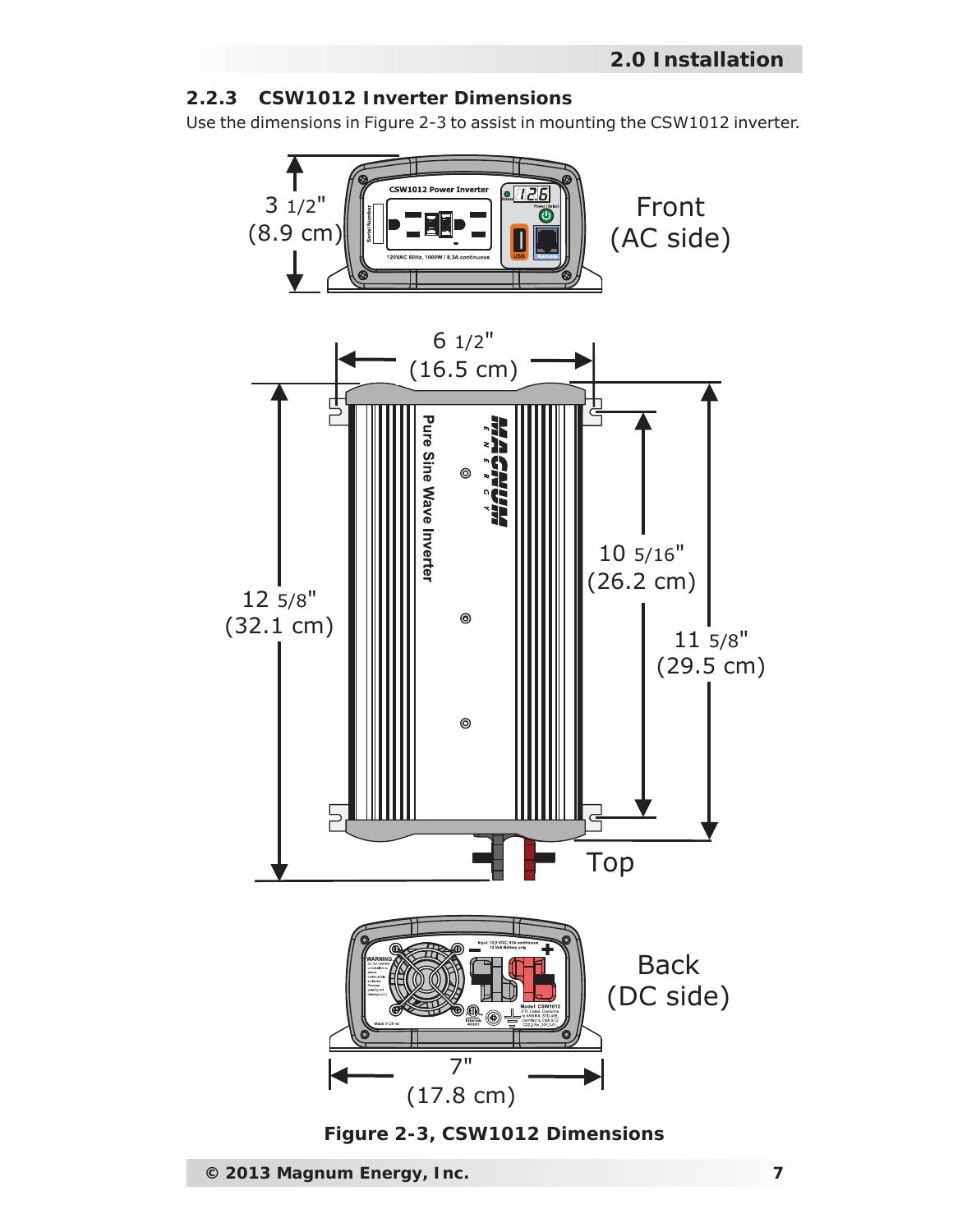#### **2.2.3 CSW1012 Inverter Dimensions**

Use the dimensions in Figure 2-3 to assist in mounting the CSW1012 inverter.



*Figure 2-3, CSW1012 Dimensions*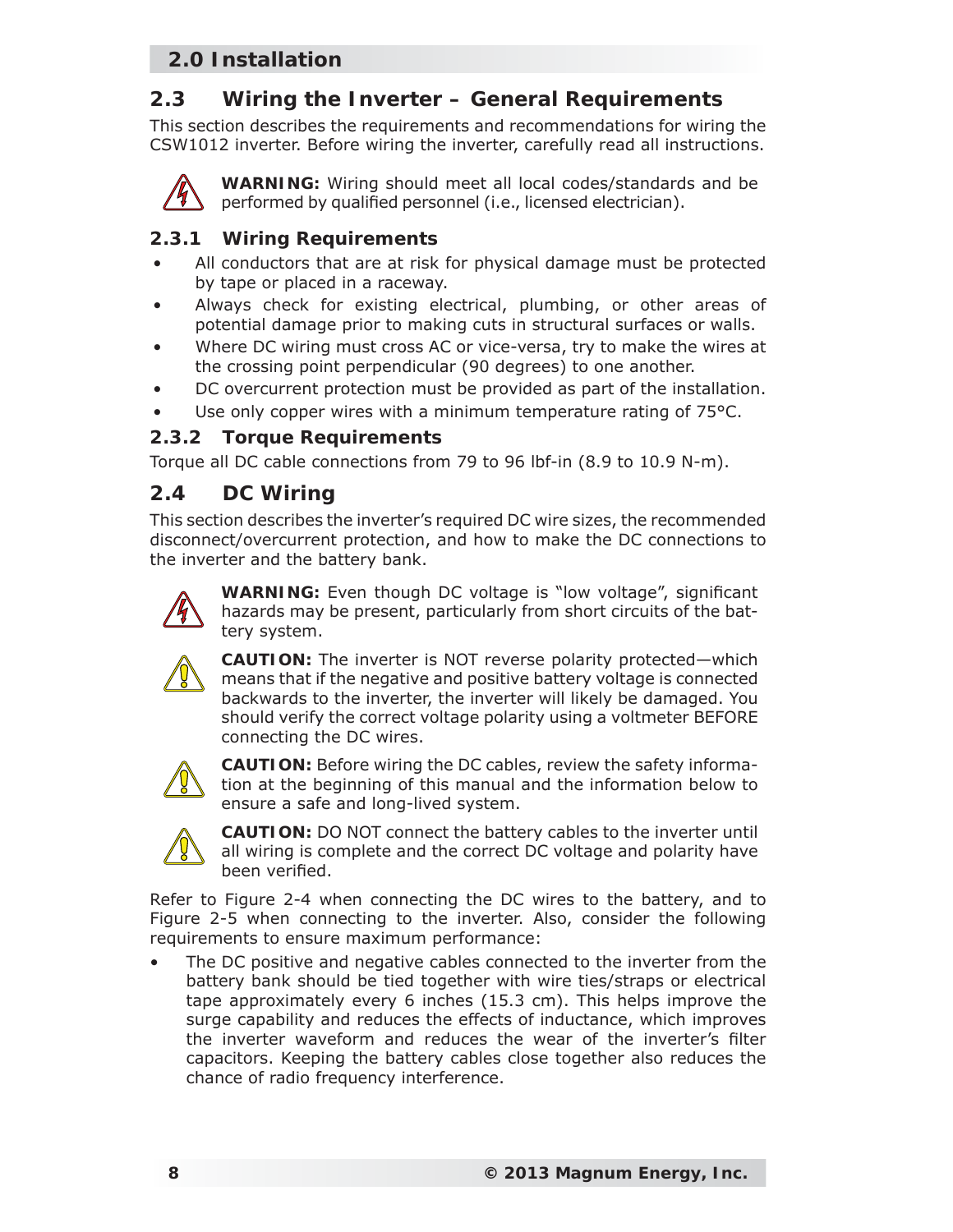## **2.3 Wiring the Inverter – General Requirements**

This section describes the requirements and recommendations for wiring the CSW1012 inverter. Before wiring the inverter, carefully read all instructions.



**WARNING:** Wiring should meet all local codes/standards and be performed by qualified personnel (i.e., licensed electrician).

## **2.3.1 Wiring Requirements**

- All conductors that are at risk for physical damage must be protected by tape or placed in a raceway.
- Always check for existing electrical, plumbing, or other areas of potential damage prior to making cuts in structural surfaces or walls.
- Where DC wiring must cross AC or vice-versa, try to make the wires at the crossing point perpendicular (90 degrees) to one another.
- DC overcurrent protection must be provided as part of the installation.
- Use only copper wires with a minimum temperature rating of 75°C.

#### **2.3.2 Torque Requirements**

Torque all DC cable connections from 79 to 96 lbf-in (8.9 to 10.9 N-m).

## **2.4 DC Wiring**

This section describes the inverter's required DC wire sizes, the recommended disconnect/overcurrent protection, and how to make the DC connections to the inverter and the battery bank.



**WARNING:** Even though DC voltage is "low voltage", significant hazards may be present, particularly from short circuits of the battery system.



**CAUTION:** The inverter is NOT reverse polarity protected—which means that if the negative and positive battery voltage is connected backwards to the inverter, the inverter will likely be damaged. You should verify the correct voltage polarity using a voltmeter BEFORE connecting the DC wires.



**CAUTION:** Before wiring the DC cables, review the safety information at the beginning of this manual and the information below to ensure a safe and long-lived system.



**CAUTION:** DO NOT connect the battery cables to the inverter until all wiring is complete and the correct DC voltage and polarity have been verified.

Refer to Figure 2-4 when connecting the DC wires to the battery, and to Figure 2-5 when connecting to the inverter. Also, consider the following requirements to ensure maximum performance:

The DC positive and negative cables connected to the inverter from the battery bank should be tied together with wire ties/straps or electrical tape approximately every 6 inches (15.3 cm). This helps improve the surge capability and reduces the effects of inductance, which improves the inverter waveform and reduces the wear of the inverter's filter capacitors. Keeping the battery cables close together also reduces the chance of radio frequency interference.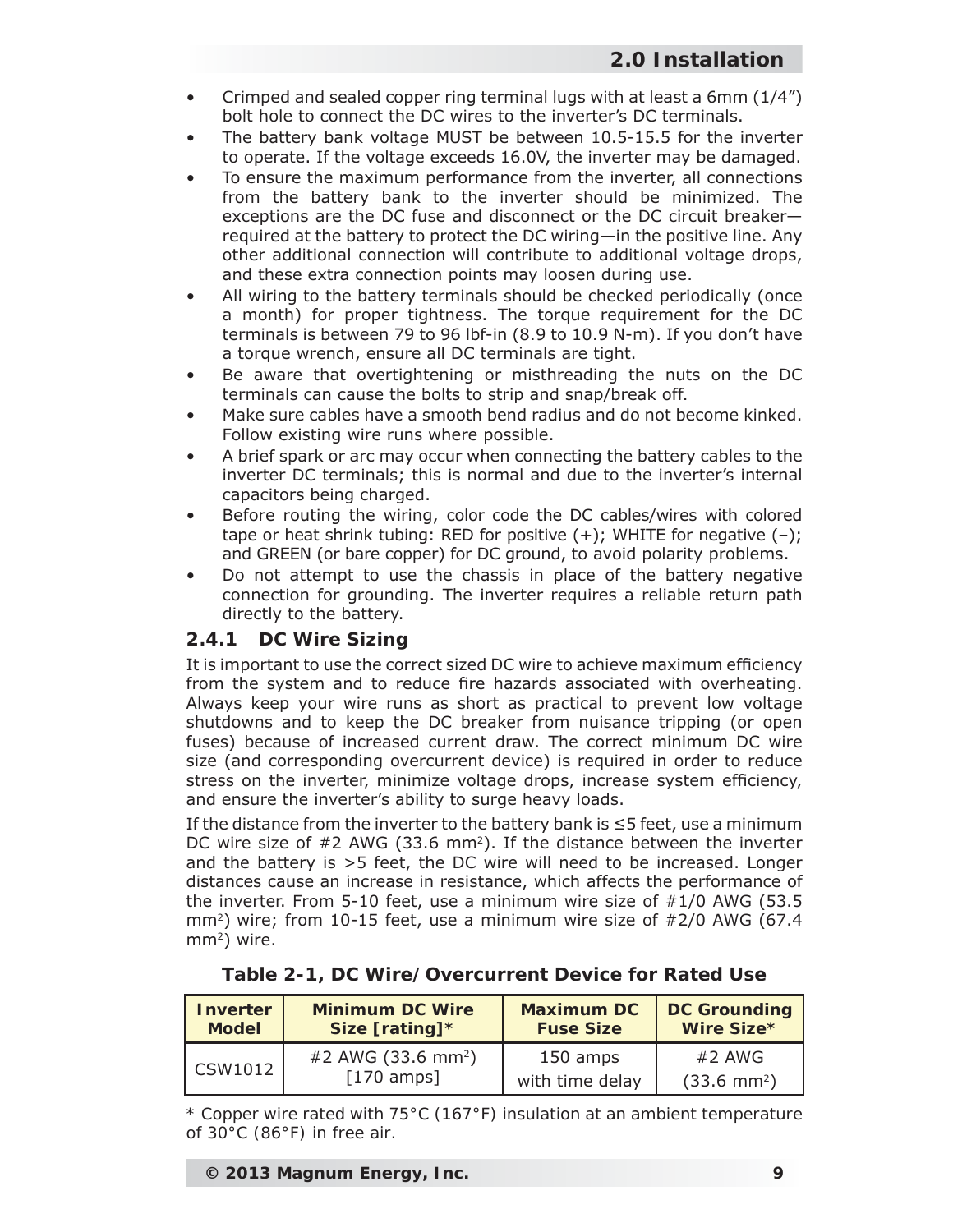- Crimped and sealed copper ring terminal lugs with at least a 6mm (1/4") bolt hole to connect the DC wires to the inverter's DC terminals.
- The battery bank voltage MUST be between 10.5-15.5 for the inverter to operate. If the voltage exceeds 16.0V, the inverter may be damaged.
- To ensure the maximum performance from the inverter, all connections from the battery bank to the inverter should be minimized. The exceptions are the DC fuse and disconnect or the DC circuit breaker required at the battery to protect the DC wiring—in the positive line. Any other additional connection will contribute to additional voltage drops, and these extra connection points may loosen during use.
- All wiring to the battery terminals should be checked periodically (once a month) for proper tightness. The torque requirement for the DC terminals is between 79 to 96 lbf-in (8.9 to 10.9 N-m). If you don't have a torque wrench, ensure all DC terminals are tight.
- Be aware that overtightening or misthreading the nuts on the DC terminals can cause the bolts to strip and snap/break off.
- Make sure cables have a smooth bend radius and do not become kinked. Follow existing wire runs where possible.
- A brief spark or arc may occur when connecting the battery cables to the inverter DC terminals; this is normal and due to the inverter's internal capacitors being charged.
- Before routing the wiring, color code the DC cables/wires with colored tape or heat shrink tubing: RED for positive  $(+)$ ; WHITE for negative  $(-)$ ; and GREEN (or bare copper) for DC ground, to avoid polarity problems.
- Do not attempt to use the chassis in place of the battery negative connection for grounding. The inverter requires a reliable return path directly to the battery.

#### **2.4.1 DC Wire Sizing**

It is important to use the correct sized DC wire to achieve maximum efficiency from the system and to reduce fire hazards associated with overheating. Always keep your wire runs as short as practical to prevent low voltage shutdowns and to keep the DC breaker from nuisance tripping (or open fuses) because of increased current draw. The correct minimum DC wire size (and corresponding overcurrent device) is required in order to reduce stress on the inverter, minimize voltage drops, increase system efficiency, and ensure the inverter's ability to surge heavy loads.

If the distance from the inverter to the battery bank is ≤5 feet, use a minimum DC wire size of #2 AWG (33.6 mm<sup>2</sup>). If the distance between the inverter and the battery is >5 feet, the DC wire will need to be increased. Longer distances cause an increase in resistance, which affects the performance of the inverter. From 5-10 feet, use a minimum wire size of #1/0 AWG (53.5 mm<sup>2</sup>) wire; from 10-15 feet, use a minimum wire size of  $#2/0$  AWG (67.4)  $mm<sup>2</sup>$ ) wire.

|  |  | Table 2-1, DC Wire/Overcurrent Device for Rated Use |  |  |  |
|--|--|-----------------------------------------------------|--|--|--|
|--|--|-----------------------------------------------------|--|--|--|

| <b>Inverter</b> | <b>Minimum DC Wire</b>         | <b>Maximum DC</b> | <b>DC Grounding</b>   |
|-----------------|--------------------------------|-------------------|-----------------------|
| <b>Model</b>    | Size [rating]*                 | <b>Fuse Size</b>  | Wire Size*            |
| CSW1012         | #2 AWG (33.6 mm <sup>2</sup> ) | 150 amps          | $#2$ AWG              |
|                 | $[170$ amps]                   | with time delay   | $(33.6 \text{ mm}^2)$ |

*\* Copper wire rated with 75°C (167°F) insulation at an ambient temperature of 30°C (86°F) in free air.*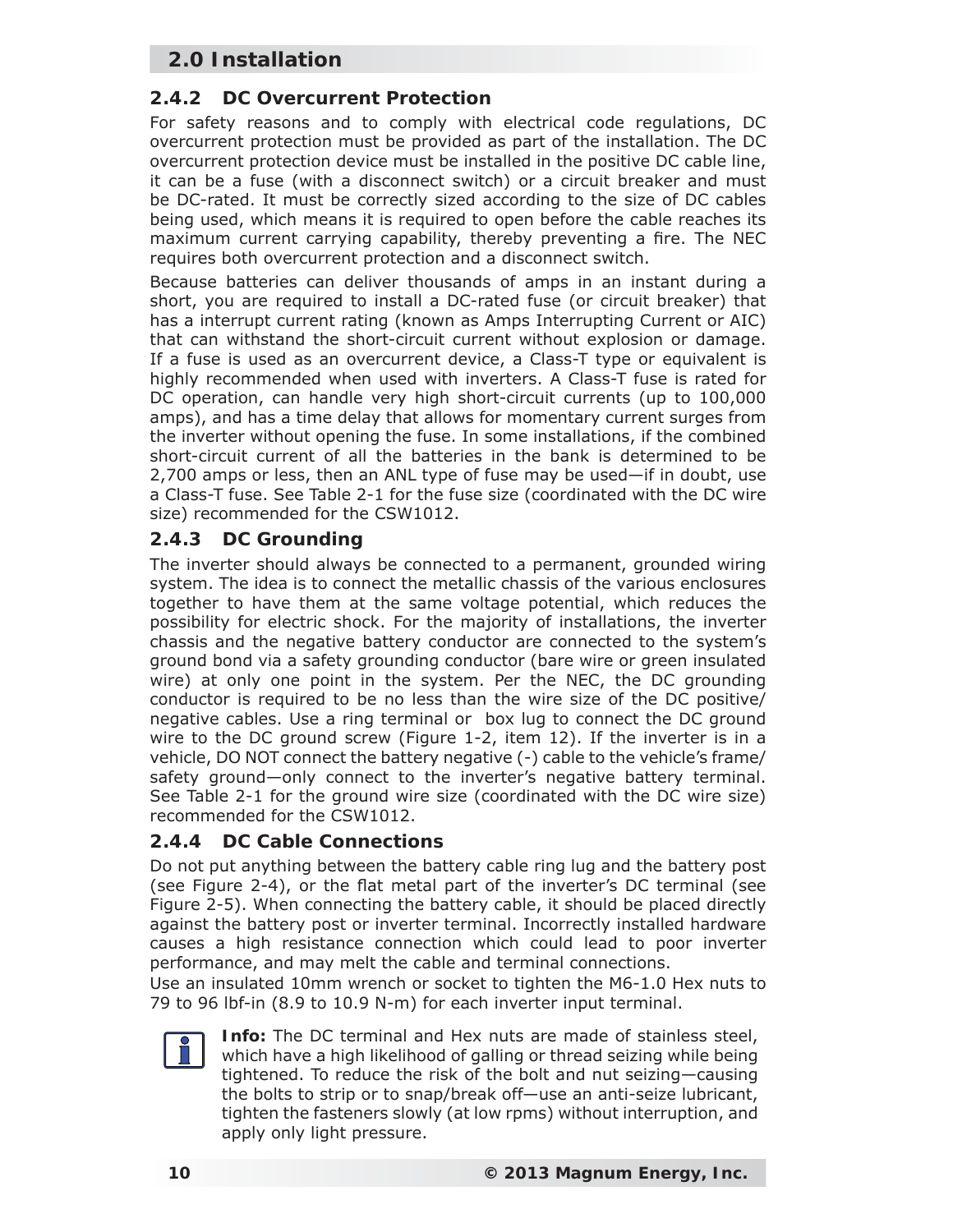## **2.4.2 DC Overcurrent Protection**

For safety reasons and to comply with electrical code regulations, DC overcurrent protection must be provided as part of the installation. The DC overcurrent protection device must be installed in the positive DC cable line, it can be a fuse (with a disconnect switch) or a circuit breaker and must be DC-rated. It must be correctly sized according to the size of DC cables being used, which means it is required to open before the cable reaches its maximum current carrying capability, thereby preventing a fire. The NEC requires both overcurrent protection and a disconnect switch.

Because batteries can deliver thousands of amps in an instant during a short, you are required to install a DC-rated fuse (or circuit breaker) that has a interrupt current rating (known as Amps Interrupting Current or AIC) that can withstand the short-circuit current without explosion or damage. If a fuse is used as an overcurrent device, a Class-T type or equivalent is highly recommended when used with inverters. A Class-T fuse is rated for DC operation, can handle very high short-circuit currents (up to 100,000 amps), and has a time delay that allows for momentary current surges from the inverter without opening the fuse. In some installations, if the combined short-circuit current of all the batteries in the bank is determined to be 2,700 amps or less, then an ANL type of fuse may be used—if in doubt, use a Class-T fuse. See Table 2-1 for the fuse size (coordinated with the DC wire size) recommended for the CSW1012.

#### **2.4.3 DC Grounding**

The inverter should always be connected to a permanent, grounded wiring system. The idea is to connect the metallic chassis of the various enclosures together to have them at the same voltage potential, which reduces the possibility for electric shock. For the majority of installations, the inverter chassis and the negative battery conductor are connected to the system's ground bond via a safety grounding conductor (bare wire or green insulated wire) at only one point in the system. Per the NEC, the DC grounding conductor is required to be no less than the wire size of the DC positive/ negative cables. Use a ring terminal or box lug to connect the DC ground wire to the DC ground screw (Figure 1-2, item 12). If the inverter is in a vehicle, DO NOT connect the battery negative (-) cable to the vehicle's frame/ safety ground—only connect to the inverter's negative battery terminal. See Table 2-1 for the ground wire size (coordinated with the DC wire size) recommended for the CSW1012.

## **2.4.4 DC Cable Connections**

Do not put anything between the battery cable ring lug and the battery post (see Figure 2-4), or the flat metal part of the inverter's DC terminal (see Figure 2-5). When connecting the battery cable, it should be placed directly against the battery post or inverter terminal. Incorrectly installed hardware causes a high resistance connection which could lead to poor inverter performance, and may melt the cable and terminal connections.

Use an insulated 10mm wrench or socket to tighten the M6-1.0 Hex nuts to 79 to 96 lbf-in (8.9 to 10.9 N-m) for each inverter input terminal.



**Info:** The DC terminal and Hex nuts are made of stainless steel, which have a high likelihood of galling or thread seizing while being tightened. To reduce the risk of the bolt and nut seizing—causing the bolts to strip or to snap/break off—use an anti-seize lubricant, tighten the fasteners slowly (at low rpms) without interruption, and apply only light pressure.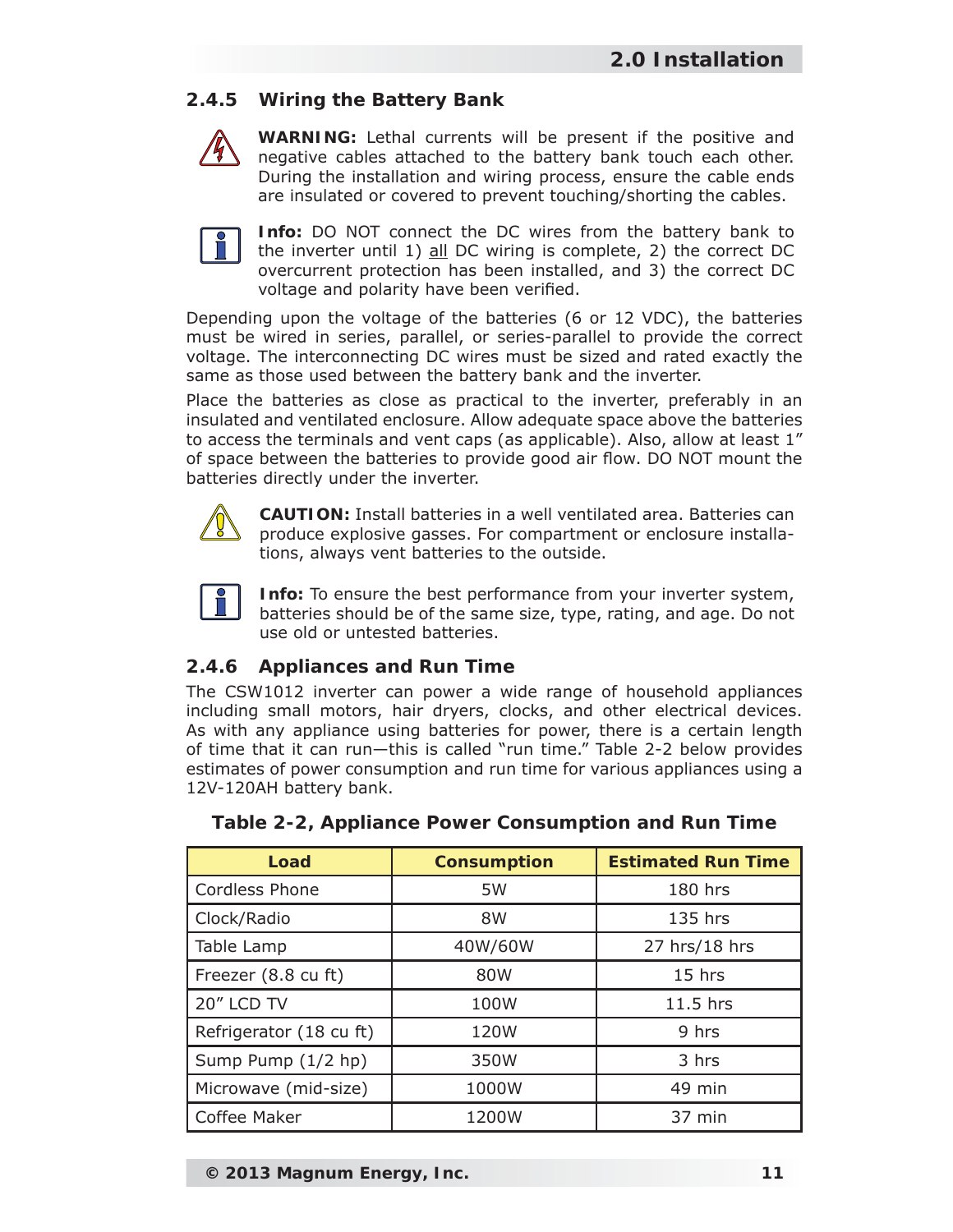## **2.4.5 Wiring the Battery Bank**



**WARNING:** Lethal currents will be present if the positive and negative cables attached to the battery bank touch each other. During the installation and wiring process, ensure the cable ends are insulated or covered to prevent touching/shorting the cables.



**Info:** DO NOT connect the DC wires from the battery bank to the inverter until 1) all DC wiring is complete, 2) the correct DC overcurrent protection has been installed, and 3) the correct DC voltage and polarity have been verified.

Depending upon the voltage of the batteries (6 or 12 VDC), the batteries must be wired in series, parallel, or series-parallel to provide the correct voltage. The interconnecting DC wires must be sized and rated exactly the same as those used between the battery bank and the inverter.

Place the batteries as close as practical to the inverter, preferably in an insulated and ventilated enclosure. Allow adequate space above the batteries to access the terminals and vent caps (as applicable). Also, allow at least 1" of space between the batteries to provide good air flow. DO NOT mount the batteries directly under the inverter.



**CAUTION:** Install batteries in a well ventilated area. Batteries can produce explosive gasses. For compartment or enclosure installations, always vent batteries to the outside.



**Info:** To ensure the best performance from your inverter system, batteries should be of the same size, type, rating, and age. Do not use old or untested batteries.

## **2.4.6 Appliances and Run Time**

The CSW1012 inverter can power a wide range of household appliances including small motors, hair dryers, clocks, and other electrical devices. As with any appliance using batteries for power, there is a certain length of time that it can run—this is called "run time." Table 2-2 below provides estimates of power consumption and run time for various appliances using a 12V-120AH battery bank.

| Load                    | <b>Consumption</b> | <b>Estimated Run Time</b> |
|-------------------------|--------------------|---------------------------|
| <b>Cordless Phone</b>   | 5W                 | 180 hrs                   |
| Clock/Radio             | 8W                 | 135 hrs                   |
| Table Lamp              | 40W/60W            | 27 hrs/18 hrs             |
| Freezer (8.8 cu ft)     | 80W                | 15 hrs                    |
| 20" LCD TV              | 100W               | 11.5 hrs                  |
| Refrigerator (18 cu ft) | 120W               | 9 hrs                     |
| Sump Pump (1/2 hp)      | 350W               | 3 hrs                     |
| Microwave (mid-size)    | 1000W              | 49 min                    |
| Coffee Maker            | 1200W              | 37 min                    |

|  |  | Table 2-2, Appliance Power Consumption and Run Time |  |
|--|--|-----------------------------------------------------|--|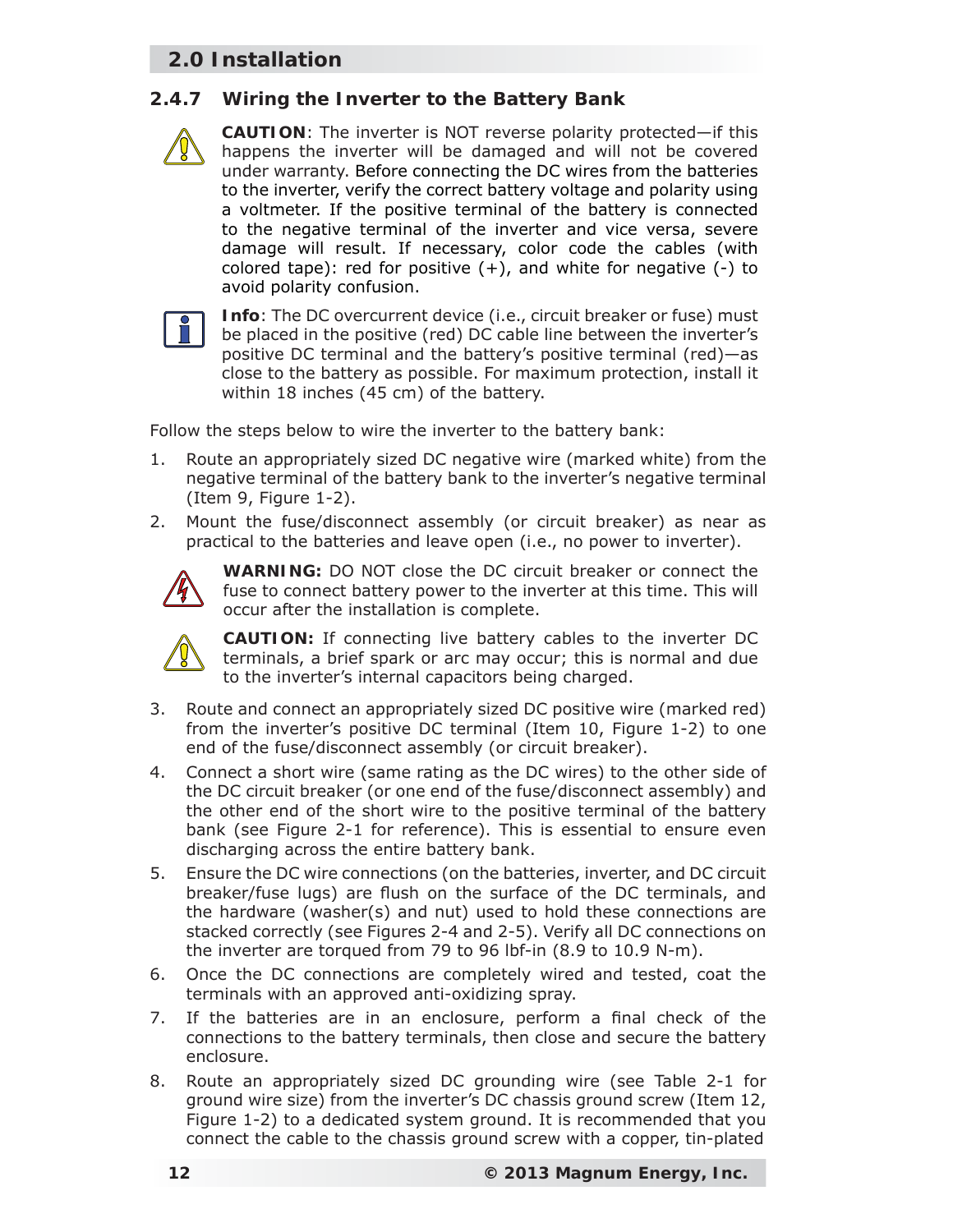#### **2.4.7 Wiring the Inverter to the Battery Bank**

**CAUTION**: The inverter is NOT reverse polarity protected—if this happens the inverter will be damaged and will not be covered under warranty. Before connecting the DC wires from the batteries to the inverter, verify the correct battery voltage and polarity using a voltmeter. If the positive terminal of the battery is connected to the negative terminal of the inverter and vice versa, severe damage will result. If necessary, color code the cables (with colored tape): red for positive  $(+)$ , and white for negative  $(-)$  to avoid polarity confusion.



**Info**: The DC overcurrent device (i.e., circuit breaker or fuse) must be placed in the positive (red) DC cable line between the inverter's positive DC terminal and the battery's positive terminal (red)—as close to the battery as possible. For maximum protection, install it within 18 inches (45 cm) of the battery.

Follow the steps below to wire the inverter to the battery bank:

- 1. Route an appropriately sized DC negative wire (marked white) from the negative terminal of the battery bank to the inverter's negative terminal (Item 9, Figure 1-2).
- 2. Mount the fuse/disconnect assembly (or circuit breaker) as near as practical to the batteries and leave open (i.e., no power to inverter).



**WARNING:** DO NOT close the DC circuit breaker or connect the fuse to connect battery power to the inverter at this time. This will occur after the installation is complete.



**CAUTION:** If connecting live battery cables to the inverter DC terminals, a brief spark or arc may occur; this is normal and due to the inverter's internal capacitors being charged.

- 3. Route and connect an appropriately sized DC positive wire (marked red) from the inverter's positive DC terminal (Item 10, Figure 1-2) to one end of the fuse/disconnect assembly (or circuit breaker).
- 4. Connect a short wire (same rating as the DC wires) to the other side of the DC circuit breaker (or one end of the fuse/disconnect assembly) and the other end of the short wire to the positive terminal of the battery bank (see Figure 2-1 for reference). This is essential to ensure even discharging across the entire battery bank.
- 5. Ensure the DC wire connections (on the batteries, inverter, and DC circuit breaker/fuse lugs) are flush on the surface of the DC terminals, and the hardware (washer(s) and nut) used to hold these connections are stacked correctly (see Figures 2-4 and 2-5). Verify all DC connections on the inverter are torqued from 79 to 96 lbf-in (8.9 to 10.9 N-m).
- 6. Once the DC connections are completely wired and tested, coat the terminals with an approved anti-oxidizing spray.
- 7. If the batteries are in an enclosure, perform a final check of the connections to the battery terminals, then close and secure the battery enclosure.
- 8. Route an appropriately sized DC grounding wire (see Table 2-1 for ground wire size) from the inverter's DC chassis ground screw (Item 12, Figure 1-2) to a dedicated system ground. It is recommended that you connect the cable to the chassis ground screw with a copper, tin-plated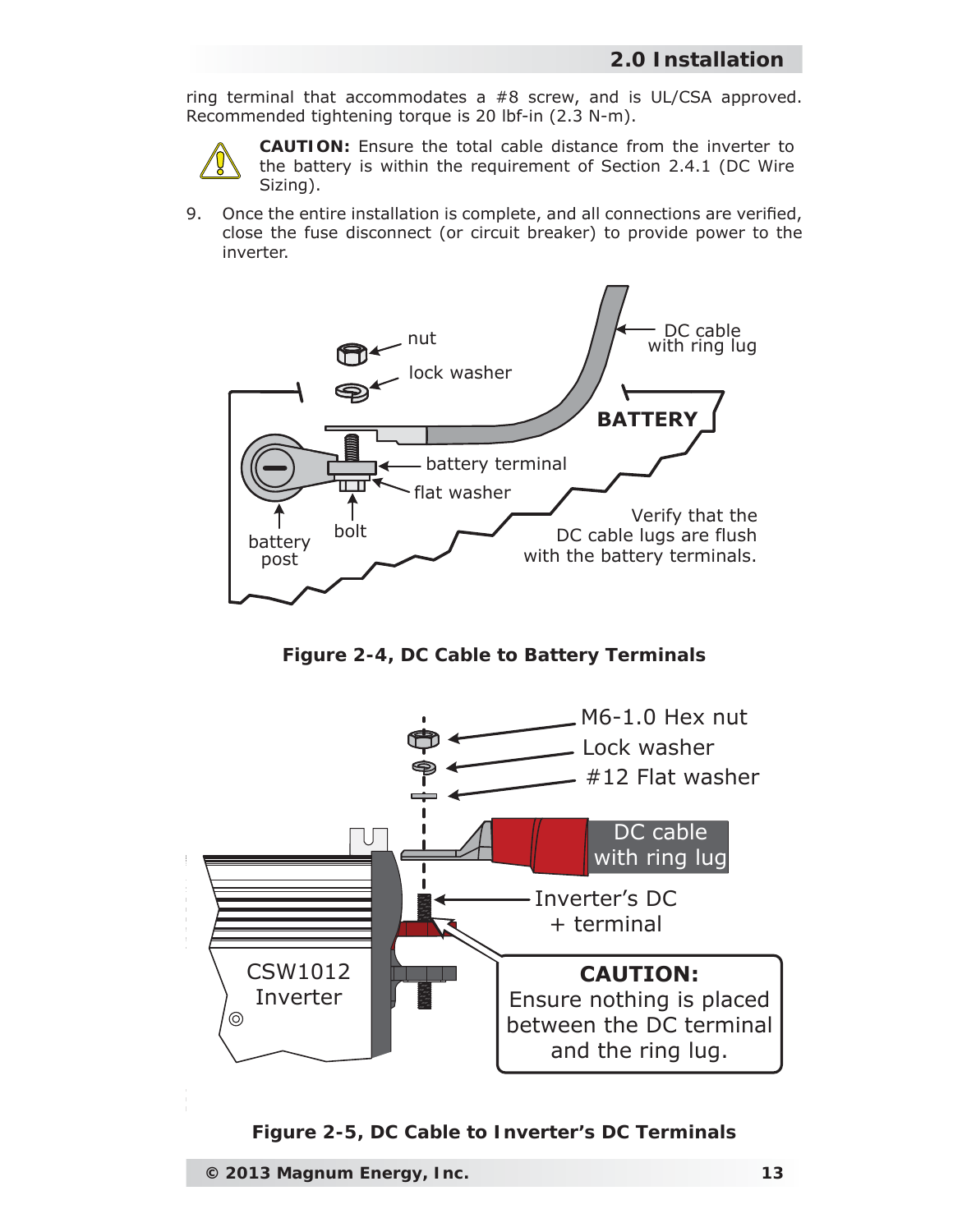ring terminal that accommodates a #8 screw, and is UL/CSA approved. Recommended tightening torque is 20 lbf-in (2.3 N-m).



**CAUTION:** Ensure the total cable distance from the inverter to the battery is within the requirement of Section 2.4.1 (DC Wire Sizing).

9. Once the entire installation is complete, and all connections are verified, close the fuse disconnect (or circuit breaker) to provide power to the inverter.



*Figure 2-4, DC Cable to Battery Terminals*



*Figure 2-5, DC Cable to Inverter's DC Terminals*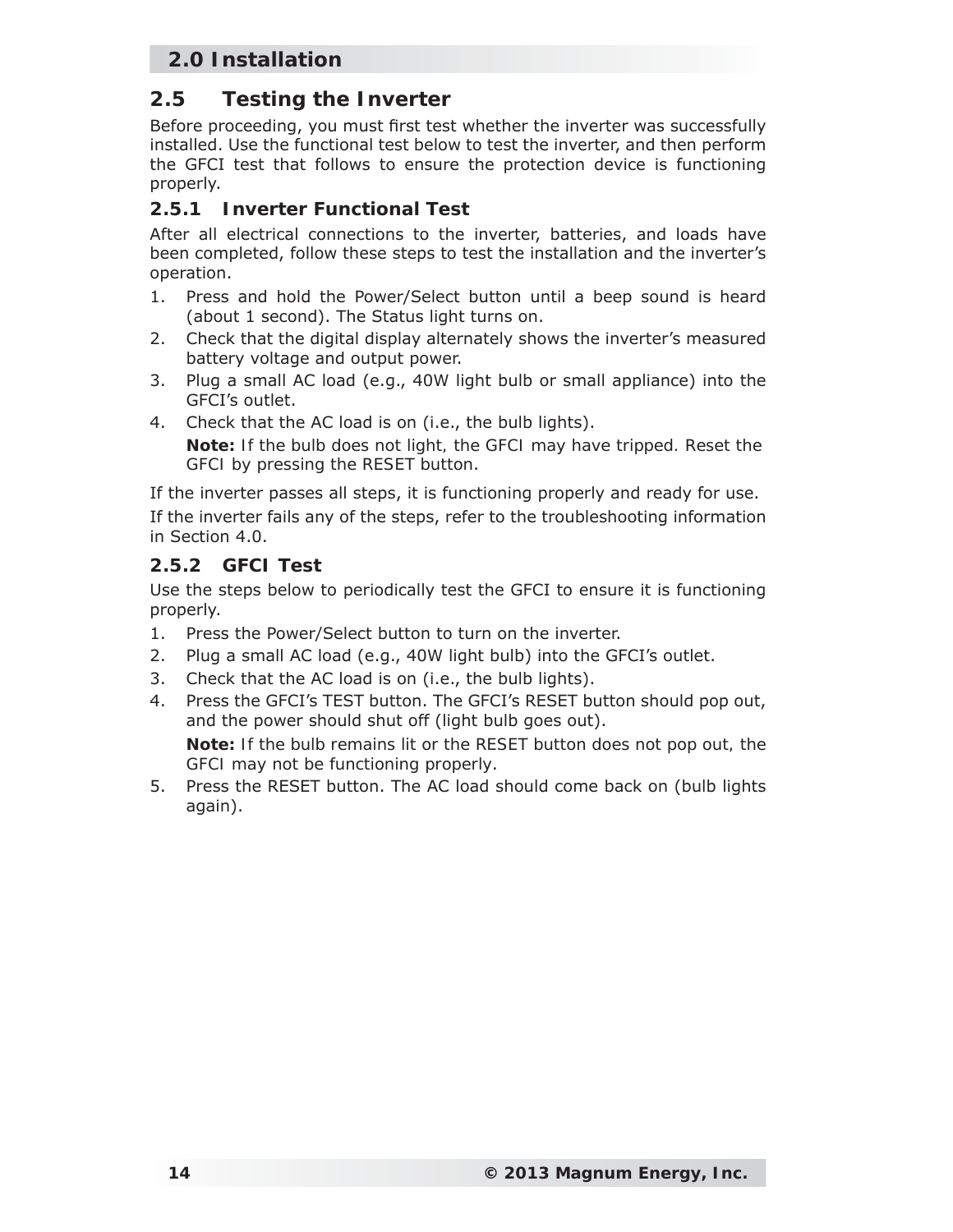## **2.5 Testing the Inverter**

Before proceeding, you must first test whether the inverter was successfully installed. Use the functional test below to test the inverter, and then perform the GFCI test that follows to ensure the protection device is functioning properly.

#### **2.5.1 Inverter Functional Test**

After all electrical connections to the inverter, batteries, and loads have been completed, follow these steps to test the installation and the inverter's operation.

- 1. Press and hold the Power/Select button until a beep sound is heard (about 1 second). The Status light turns on.
- 2. Check that the digital display alternately shows the inverter's measured battery voltage and output power.
- 3. Plug a small AC load (e.g., 40W light bulb or small appliance) into the GFCI's outlet.
- 4. Check that the AC load is on (i.e., the bulb lights). *Note: If the bulb does not light, the GFCI may have tripped. Reset the GFCI by pressing the RESET button*.

If the inverter passes all steps, it is functioning properly and ready for use. If the inverter fails any of the steps, refer to the troubleshooting information in Section 4.0.

#### **2.5.2 GFCI Test**

Use the steps below to periodically test the GFCI to ensure it is functioning properly.

- 1. Press the Power/Select button to turn on the inverter.
- 2. Plug a small AC load (e.g., 40W light bulb) into the GFCI's outlet.
- 3. Check that the AC load is on (i.e., the bulb lights).
- 4. Press the GFCI's TEST button. The GFCI's RESET button should pop out, and the power should shut off (light bulb goes out). *Note: If the bulb remains lit or the RESET button does not pop out, the GFCI may not be functioning properly*.
- 5. Press the RESET button. The AC load should come back on (bulb lights again).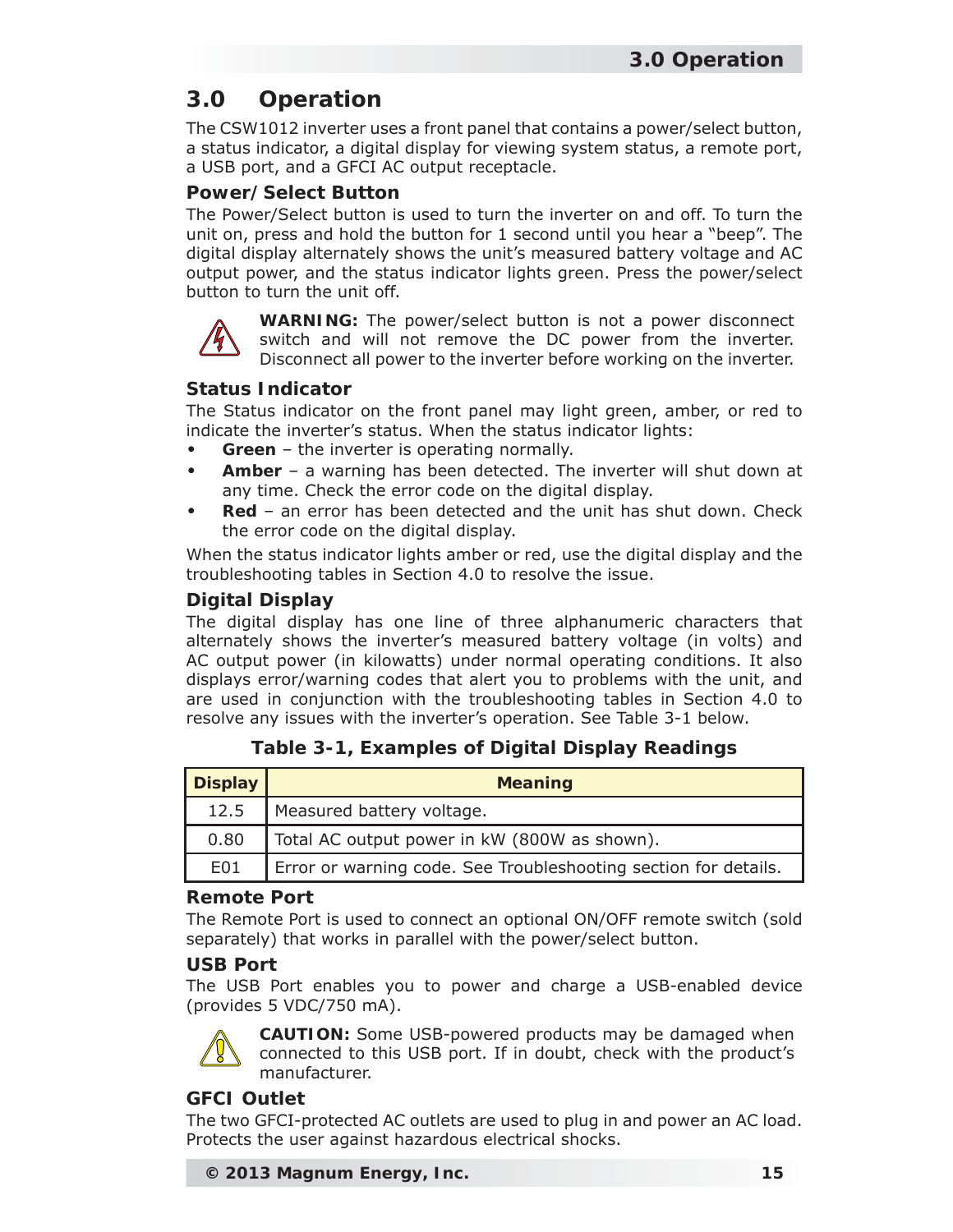# **3.0 Operation**

The CSW1012 inverter uses a front panel that contains a power/select button, a status indicator, a digital display for viewing system status, a remote port, a USB port, and a GFCI AC output receptacle.

#### **Power/Select Button**

The Power/Select button is used to turn the inverter on and off. To turn the unit on, press and hold the button for 1 second until you hear a "beep". The digital display alternately shows the unit's measured battery voltage and AC output power, and the status indicator lights green. Press the power/select button to turn the unit off.



**WARNING:** The power/select button is not a power disconnect switch and will not remove the DC power from the inverter. Disconnect all power to the inverter before working on the inverter.

#### **Status Indicator**

The Status indicator on the front panel may light green, amber, or red to indicate the inverter's status. When the status indicator lights:

- **Green** the inverter is operating normally.
- **Amber** a warning has been detected. The inverter will shut down at any time. Check the error code on the digital display.
- **Red** an error has been detected and the unit has shut down. Check the error code on the digital display.

When the status indicator lights amber or red, use the digital display and the troubleshooting tables in Section 4.0 to resolve the issue.

#### **Digital Display**

The digital display has one line of three alphanumeric characters that alternately shows the inverter's measured battery voltage (in volts) and AC output power (in kilowatts) under normal operating conditions. It also displays error/warning codes that alert you to problems with the unit, and are used in conjunction with the troubleshooting tables in Section 4.0 to resolve any issues with the inverter's operation. See Table 3-1 below.

#### **Table 3-1, Examples of Digital Display Readings**

| <b>Display</b> | <b>Meaning</b>                                                  |  |
|----------------|-----------------------------------------------------------------|--|
| 12.5           | Measured battery voltage.                                       |  |
| 0.80           | Total AC output power in kW (800W as shown).                    |  |
| E01            | Error or warning code. See Troubleshooting section for details. |  |

#### **Remote Port**

The Remote Port is used to connect an optional ON/OFF remote switch (sold separately) that works in parallel with the power/select button.

#### **USB Port**

The USB Port enables you to power and charge a USB-enabled device (provides 5 VDC/750 mA).



**CAUTION:** Some USB-powered products may be damaged when connected to this USB port. If in doubt, check with the product's manufacturer.

#### **GFCI Outlet**

The two GFCI-protected AC outlets are used to plug in and power an AC load. Protects the user against hazardous electrical shocks.

```
© 2013 Magnum Energy, Inc. 15
```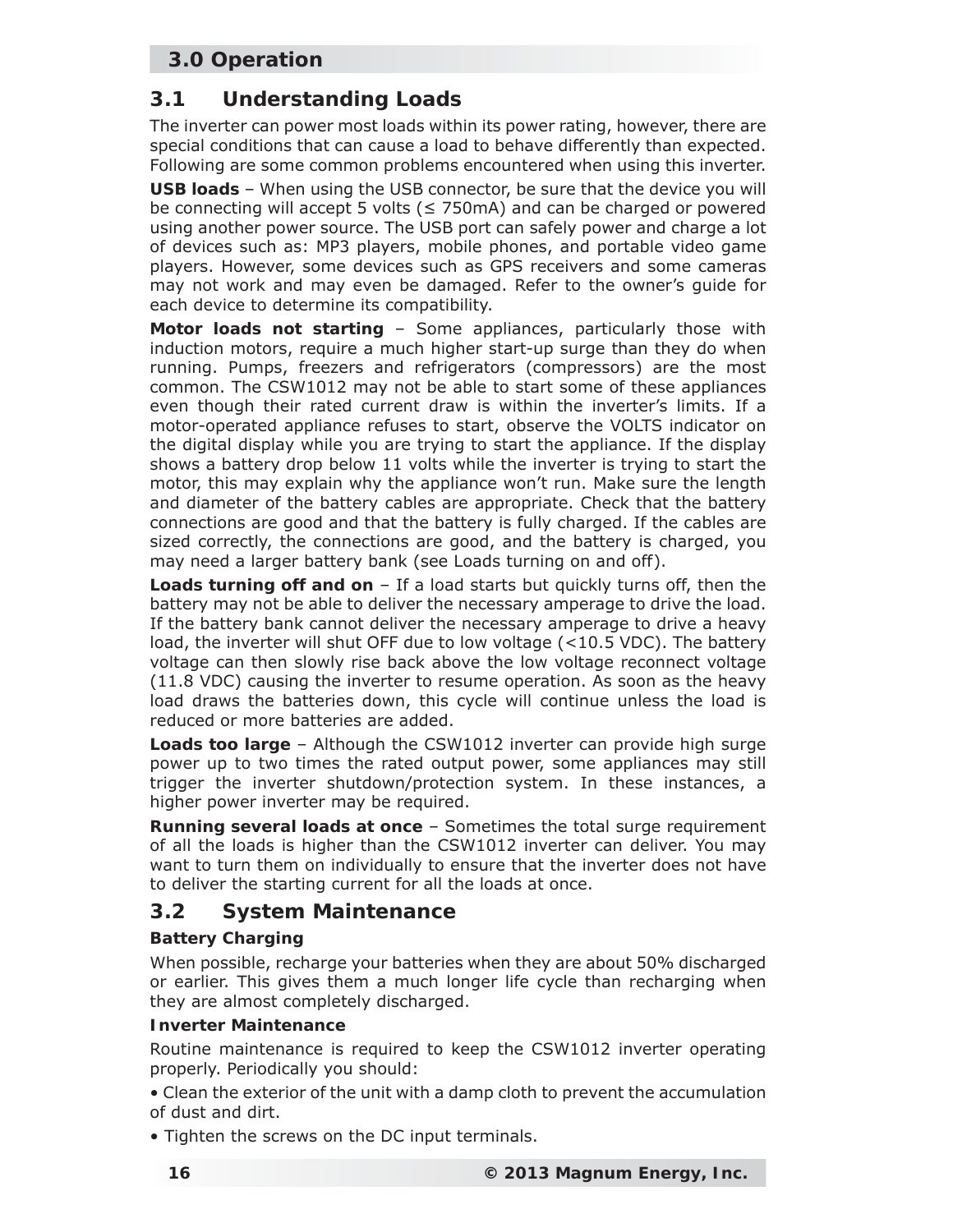## **3.0 Operation**

## **3.1 Understanding Loads**

The inverter can power most loads within its power rating, however, there are special conditions that can cause a load to behave differently than expected. Following are some common problems encountered when using this inverter.

**USB loads** – When using the USB connector, be sure that the device you will be connecting will accept 5 volts ( $\leq$  750mA) and can be charged or powered using another power source. The USB port can safely power and charge a lot of devices such as: MP3 players, mobile phones, and portable video game players. However, some devices such as GPS receivers and some cameras may not work and may even be damaged. Refer to the owner's guide for each device to determine its compatibility.

**Motor loads not starting** – Some appliances, particularly those with induction motors, require a much higher start-up surge than they do when running. Pumps, freezers and refrigerators (compressors) are the most common. The CSW1012 may not be able to start some of these appliances even though their rated current draw is within the inverter's limits. If a motor-operated appliance refuses to start, observe the VOLTS indicator on the digital display while you are trying to start the appliance. If the display shows a battery drop below 11 volts while the inverter is trying to start the motor, this may explain why the appliance won't run. Make sure the length and diameter of the battery cables are appropriate. Check that the battery connections are good and that the battery is fully charged. If the cables are sized correctly, the connections are good, and the battery is charged, you may need a larger battery bank (see Loads turning on and off).

**Loads turning off and on** – If a load starts but quickly turns off, then the battery may not be able to deliver the necessary amperage to drive the load. If the battery bank cannot deliver the necessary amperage to drive a heavy load, the inverter will shut OFF due to low voltage (<10.5 VDC). The battery voltage can then slowly rise back above the low voltage reconnect voltage (11.8 VDC) causing the inverter to resume operation. As soon as the heavy load draws the batteries down, this cycle will continue unless the load is reduced or more batteries are added.

**Loads too large** – Although the CSW1012 inverter can provide high surge power up to two times the rated output power, some appliances may still trigger the inverter shutdown/protection system. In these instances, a higher power inverter may be required.

**Running several loads at once** – Sometimes the total surge requirement of all the loads is higher than the CSW1012 inverter can deliver. You may want to turn them on individually to ensure that the inverter does not have to deliver the starting current for all the loads at once.

## **3.2 System Maintenance**

#### **Battery Charging**

When possible, recharge your batteries when they are about 50% discharged or earlier. This gives them a much longer life cycle than recharging when they are almost completely discharged.

#### **Inverter Maintenance**

Routine maintenance is required to keep the CSW1012 inverter operating properly. Periodically you should:

• Clean the exterior of the unit with a damp cloth to prevent the accumulation of dust and dirt.

• Tighten the screws on the DC input terminals.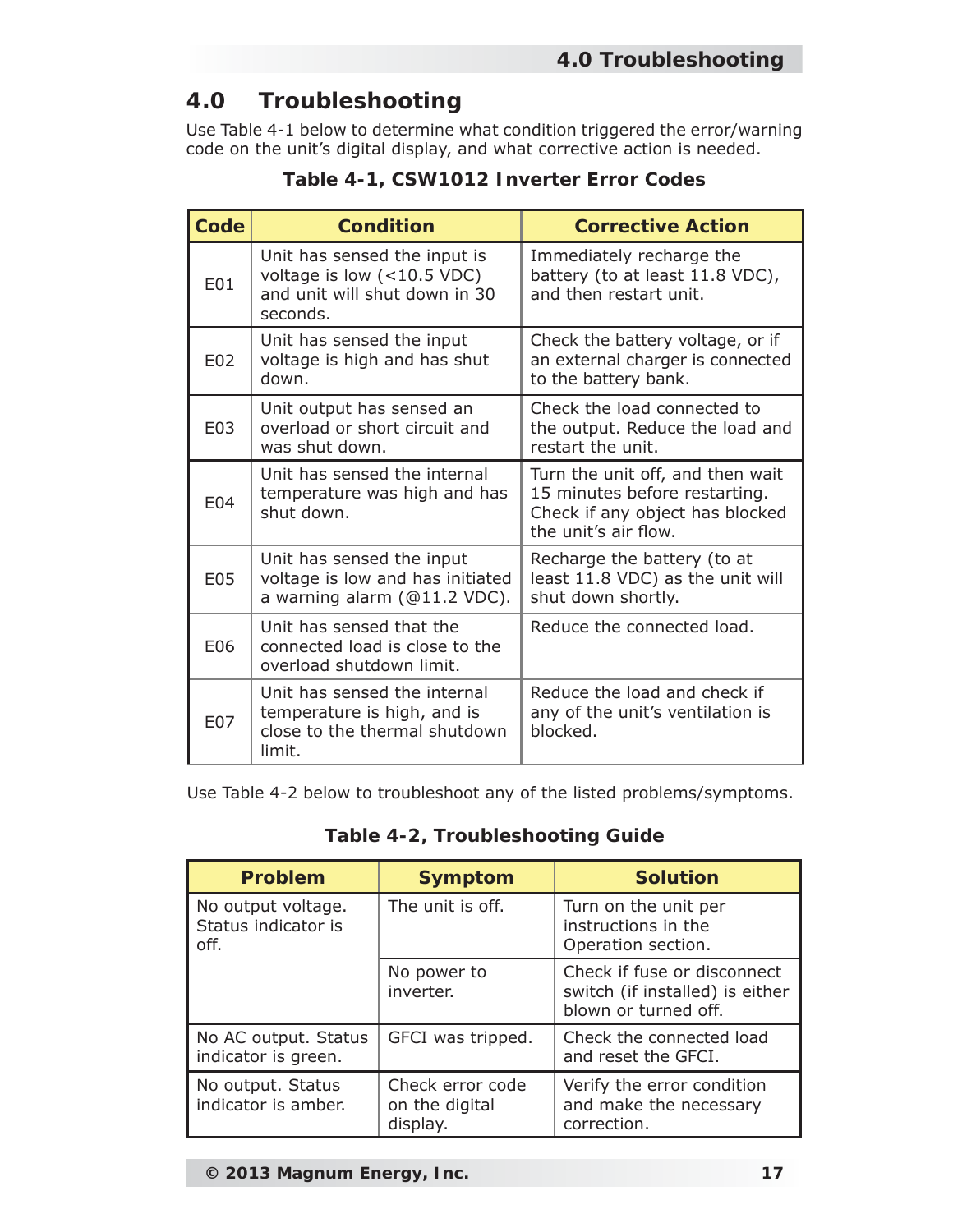# **4.0 Troubleshooting**

Use Table 4-1 below to determine what condition triggered the error/warning code on the unit's digital display, and what corrective action is needed.

| Code | <b>Condition</b>                                                                                          | <b>Corrective Action</b>                                                                                                     |
|------|-----------------------------------------------------------------------------------------------------------|------------------------------------------------------------------------------------------------------------------------------|
| E01  | Unit has sensed the input is<br>voltage is low $(<10.5$ VDC)<br>and unit will shut down in 30<br>seconds. | Immediately recharge the<br>battery (to at least 11.8 VDC),<br>and then restart unit.                                        |
| E02  | Unit has sensed the input<br>voltage is high and has shut<br>down.                                        | Check the battery voltage, or if<br>an external charger is connected<br>to the battery bank.                                 |
| E03  | Unit output has sensed an<br>overload or short circuit and<br>was shut down.                              | Check the load connected to<br>the output. Reduce the load and<br>restart the unit.                                          |
| E04  | Unit has sensed the internal<br>temperature was high and has<br>shut down.                                | Turn the unit off, and then wait<br>15 minutes before restarting.<br>Check if any object has blocked<br>the unit's air flow. |
| E05  | Unit has sensed the input<br>voltage is low and has initiated<br>a warning alarm (@11.2 VDC).             | Recharge the battery (to at<br>least 11.8 VDC) as the unit will<br>shut down shortly.                                        |
| E06  | Unit has sensed that the<br>connected load is close to the<br>overload shutdown limit.                    | Reduce the connected load.                                                                                                   |
| E07  | Unit has sensed the internal<br>temperature is high, and is<br>close to the thermal shutdown<br>limit.    | Reduce the load and check if<br>any of the unit's ventilation is<br>blocked.                                                 |

**Table 4-1, CSW1012 Inverter Error Codes**

Use Table 4-2 below to troubleshoot any of the listed problems/symptoms.

|  | Table 4-2, Troubleshooting Guide |  |
|--|----------------------------------|--|
|--|----------------------------------|--|

| <b>Problem</b>                                    | <b>Symptom</b>                                 | <b>Solution</b>                                                                        |
|---------------------------------------------------|------------------------------------------------|----------------------------------------------------------------------------------------|
| No output voltage.<br>Status indicator is<br>off. | The unit is off.                               | Turn on the unit per<br>instructions in the<br>Operation section.                      |
|                                                   | No power to<br>inverter.                       | Check if fuse or disconnect<br>switch (if installed) is either<br>blown or turned off. |
| No AC output. Status<br>indicator is green.       | GFCI was tripped.                              | Check the connected load<br>and reset the GFCI.                                        |
| No output. Status<br>indicator is amber.          | Check error code<br>on the digital<br>display. | Verify the error condition<br>and make the necessary<br>correction.                    |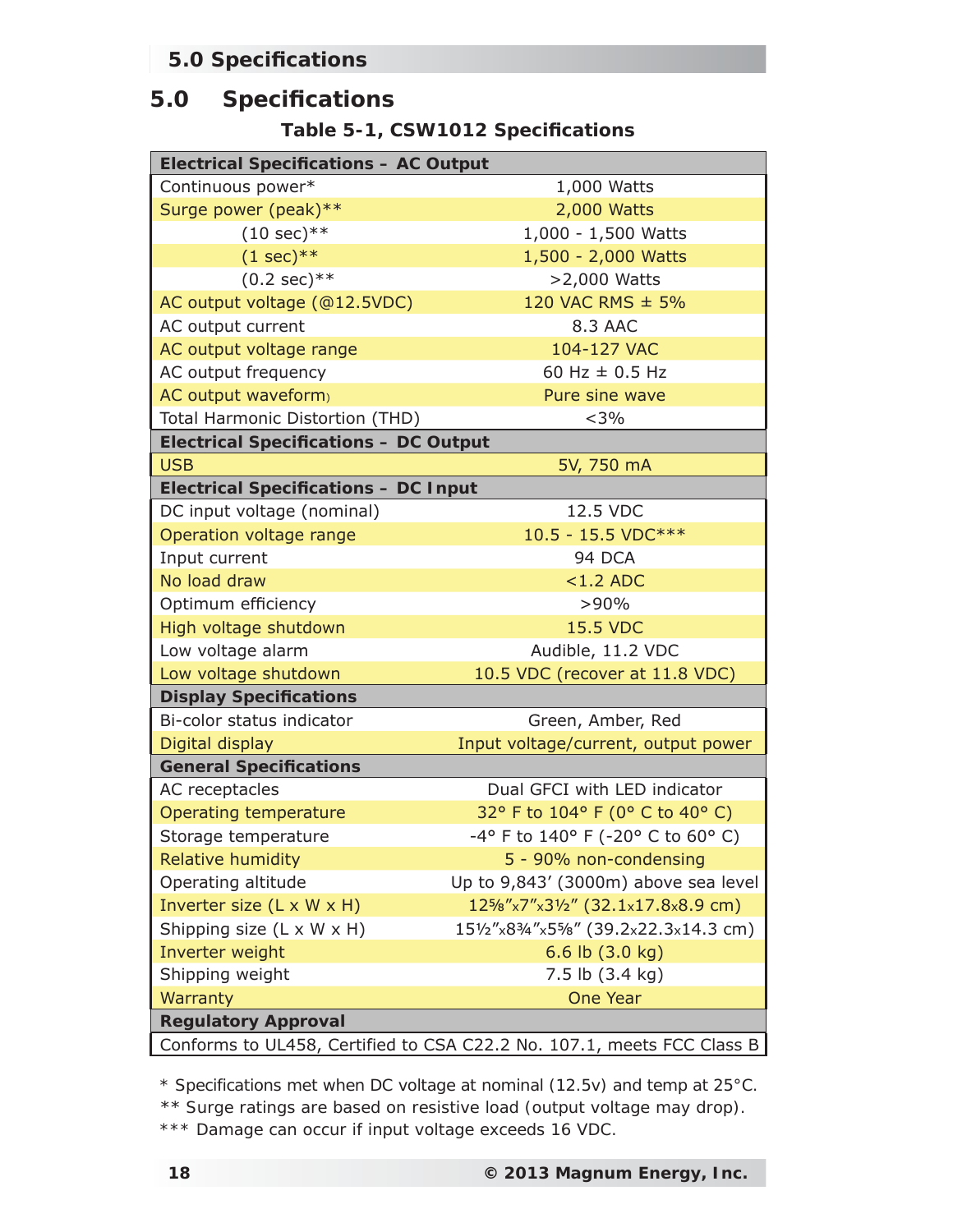## **5.0 Specifi cations**

## **5.0 Specifi cations**

**Table 5-1, CSW1012 Specifi cations**

| <b>Electrical Specifications - AC Output</b>                           |                                               |  |  |
|------------------------------------------------------------------------|-----------------------------------------------|--|--|
| Continuous power*                                                      | 1,000 Watts                                   |  |  |
| Surge power (peak)**                                                   | 2,000 Watts                                   |  |  |
| $(10 sec)$ **                                                          | 1,000 - 1,500 Watts                           |  |  |
| $(1 sec)**$                                                            | 1,500 - 2,000 Watts                           |  |  |
| $(0.2 \text{ sec})$ **                                                 | >2,000 Watts                                  |  |  |
| AC output voltage (@12.5VDC)                                           | 120 VAC RMS ± 5%                              |  |  |
| AC output current                                                      | 8.3 AAC                                       |  |  |
| AC output voltage range                                                | 104-127 VAC                                   |  |  |
| AC output frequency                                                    | 60 Hz $\pm$ 0.5 Hz                            |  |  |
| AC output waveform)                                                    | Pure sine wave                                |  |  |
| Total Harmonic Distortion (THD)                                        | $<$ 3%                                        |  |  |
| <b>Electrical Specifications - DC Output</b>                           |                                               |  |  |
| <b>USB</b>                                                             | 5V, 750 mA                                    |  |  |
| <b>Electrical Specifications - DC Input</b>                            |                                               |  |  |
| DC input voltage (nominal)                                             | 12.5 VDC                                      |  |  |
| Operation voltage range                                                | 10.5 - 15.5 VDC***                            |  |  |
| Input current                                                          | 94 DCA                                        |  |  |
| No load draw                                                           | $<1.2$ ADC                                    |  |  |
| Optimum efficiency                                                     | >90%                                          |  |  |
| High voltage shutdown                                                  | <b>15.5 VDC</b>                               |  |  |
| Low voltage alarm                                                      | Audible, 11.2 VDC                             |  |  |
| Low voltage shutdown                                                   | 10.5 VDC (recover at 11.8 VDC)                |  |  |
| <b>Display Specifications</b>                                          |                                               |  |  |
| Bi-color status indicator                                              | Green, Amber, Red                             |  |  |
| Digital display                                                        | Input voltage/current, output power           |  |  |
| <b>General Specifications</b>                                          |                                               |  |  |
| AC receptacles                                                         | Dual GFCI with LED indicator                  |  |  |
| <b>Operating temperature</b>                                           | 32° F to 104° F (0° C to 40° C)               |  |  |
| Storage temperature                                                    | -4° F to 140° F (-20° C to 60° C)             |  |  |
| Relative humidity                                                      | 5 - 90% non-condensing                        |  |  |
| Operating altitude                                                     | Up to 9,843' (3000m) above sea level          |  |  |
| Inverter size (L x W x H)                                              | $12\frac{5}{8}$ "x7"x31/2" (32.1x17.8x8.9 cm) |  |  |
| Shipping size (L x W x H)                                              | 151/2"x83/4"x55/8" (39.2x22.3x14.3 cm)        |  |  |
| Inverter weight                                                        | 6.6 lb $(3.0 \text{ kg})$                     |  |  |
| Shipping weight                                                        | 7.5 lb (3.4 kg)                               |  |  |
| Warranty                                                               | <b>One Year</b>                               |  |  |
| <b>Regulatory Approval</b>                                             |                                               |  |  |
| Conforms to UL458, Certified to CSA C22.2 No. 107.1, meets FCC Class B |                                               |  |  |

*\* Specifications met when DC voltage at nominal (12.5v) and temp at 25°C.*

\*\* *Surge ratings are based on resistive load (output voltage may drop).*

*\*\*\* Damage can occur if input voltage exceeds 16 VDC.*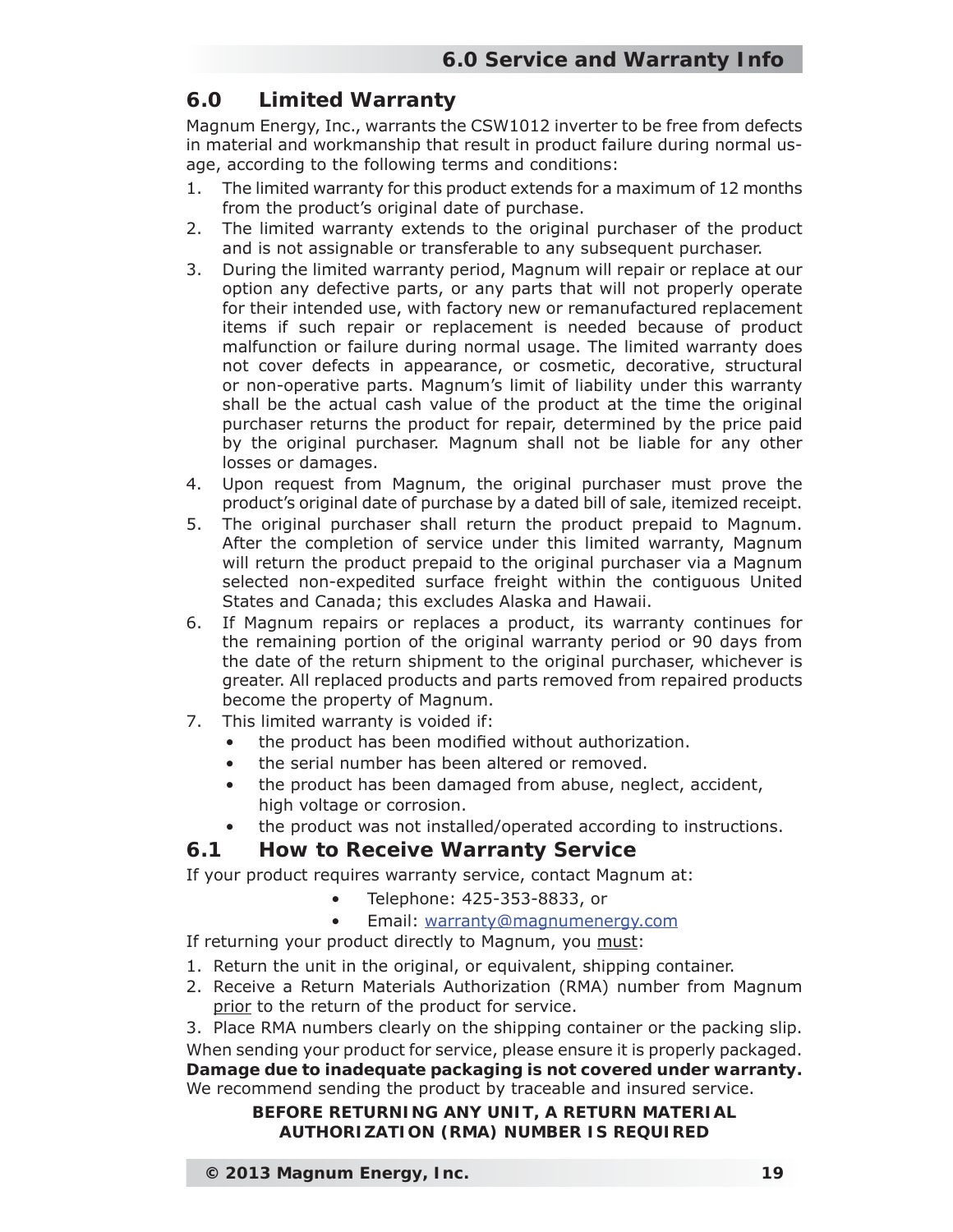## **6.0 Limited Warranty**

Magnum Energy, Inc., warrants the CSW1012 inverter to be free from defects in material and workmanship that result in product failure during normal usage, according to the following terms and conditions:

- 1. The limited warranty for this product extends for a maximum of 12 months from the product's original date of purchase.
- 2. The limited warranty extends to the original purchaser of the product and is not assignable or transferable to any subsequent purchaser.
- 3. During the limited warranty period, Magnum will repair or replace at our option any defective parts, or any parts that will not properly operate for their intended use, with factory new or remanufactured replacement items if such repair or replacement is needed because of product malfunction or failure during normal usage. The limited warranty does not cover defects in appearance, or cosmetic, decorative, structural or non-operative parts. Magnum's limit of liability under this warranty shall be the actual cash value of the product at the time the original purchaser returns the product for repair, determined by the price paid by the original purchaser. Magnum shall not be liable for any other losses or damages.
- 4. Upon request from Magnum, the original purchaser must prove the product's original date of purchase by a dated bill of sale, itemized receipt.
- 5. The original purchaser shall return the product prepaid to Magnum. After the completion of service under this limited warranty, Magnum will return the product prepaid to the original purchaser via a Magnum selected non-expedited surface freight within the contiguous United States and Canada; this excludes Alaska and Hawaii.
- 6. If Magnum repairs or replaces a product, its warranty continues for the remaining portion of the original warranty period or 90 days from the date of the return shipment to the original purchaser, whichever is greater. All replaced products and parts removed from repaired products become the property of Magnum.
- 7. This limited warranty is voided if:
	- the product has been modified without authorization.
	- the serial number has been altered or removed.
	- the product has been damaged from abuse, neglect, accident, high voltage or corrosion.
	- the product was not installed/operated according to instructions.

#### **6.1 How to Receive Warranty Service**

If your product requires warranty service, contact Magnum at:

- Telephone: 425-353-8833, or
- Email: warranty@magnumenergy.com

If returning your product directly to Magnum, you must:

- 1. Return the unit in the original, or equivalent, shipping container.
- 2. Receive a Return Materials Authorization (RMA) number from Magnum prior to the return of the product for service.

3. Place RMA numbers clearly on the shipping container or the packing slip. When sending your product for service, please ensure it is properly packaged. **Damage due to inadequate packaging is not covered under warranty.** We recommend sending the product by traceable and insured service.

#### **BEFORE RETURNING ANY UNIT, A RETURN MATERIAL AUTHORIZATION (RMA) NUMBER IS REQUIRED**